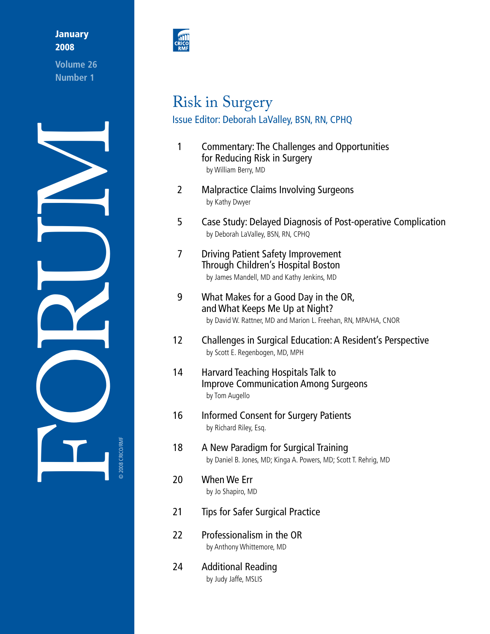## **January** 2008

**Volume 26 Number 1** 





# Risk in Surgery Issue Editor: Deborah LaValley, BSN, RN, CPHQ

- by William Berry, MD 1 Commentary: The Challenges and Opportunities for Reducing Risk in Surgery
- 2 Malpractice Claims Involving Surgeons by Kathy Dwyer
- 5 Case Study: Delayed Diagnosis of Post-operative Complication by Deborah LaValley, BSN, RN, CPHQ
- by James Mandell, MD and Kathy Jenkins, MD 7 Driving Patient Safety Improvement Through Children's Hospital Boston
- 9 What Makes for a Good Day in the OR, and What Keeps Me Up at Night? by David W. Rattner, MD and Marion L. Freehan, RN, MPA/HA, CNOR
- $12<sup>2</sup>$ 12 Challenges in Surgical Education: A Resident's Perspective by Scott E. Regenbogen, MD, MPH
- 14 14 Harvard Teaching Hospitals Talk to Improve Communication Among Surgeons by Tom Augello
- 16 16 Informed Consent for Surgery Patients by Richard Riley, Esq.
- 18 18 A New Paradigm for Surgical Training by Daniel B. Jones, MD; Kinga A. Powers, MD; Scott T. Rehrig, MD
- 20 When We Err by Jo Shapiro, MD
- 21 Tips for Safer Surgical Practice
- 22 Professionalism in the OR by Anthony Whittemore, MD
- 24 Additional Reading by Judy Jaffe, MSLIS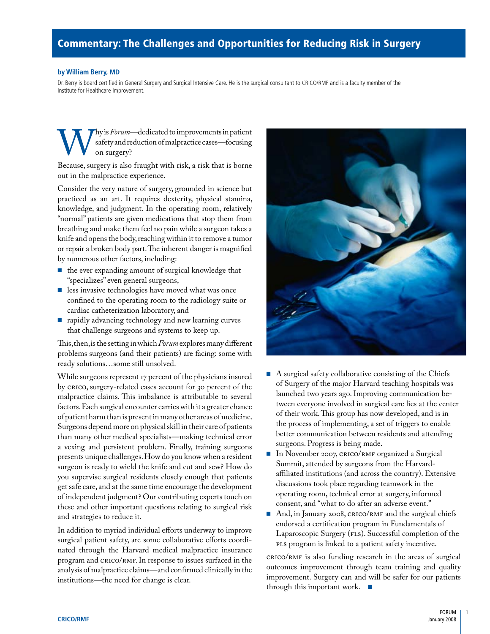# Commentary: The Challenges and Opportunities for Reducing Risk in Surgery

#### **by William Berry, MD**

Dr. Berry is board certified in General Surgery and Surgical Intensive Care. He is the surgical consultant to CRICO/RMF and is a faculty member of the Institute for Healthcare Improvement.

hy is *Forum*—dedicated to improvements in patient safety and reduction of malpractice cases—focusing Why is *Forum*—dedicated to improvements in patient<br>
safety and reduction of malpractice cases—focusing<br>
Because, surgery is also fraught with risk, a risk that is borne on surgery?

out in the malpractice experience.

Consider the very nature of surgery, grounded in science but practiced as an art. It requires dexterity, physical stamina, knowledge, and judgment. In the operating room, relatively "normal" patients are given medications that stop them from breathing and make them feel no pain while a surgeon takes a knife and opens the body, reaching within it to remove a tumor or repair a broken body part.The inherent danger is magnified by numerous other factors, including:

- the ever expanding amount of surgical knowledge that "specializes" even general surgeons,
- less invasive technologies have moved what was once confined to the operating room to the radiology suite or cardiac catheterization laboratory, and
- rapidly advancing technology and new learning curves that challenge surgeons and systems to keep up.

 This,then,is the setting in which *Forum* exploresmany different problems surgeons (and their patients) are facing: some with ready solutions…some still unsolved.

 a vexing and persistent problem. Finally, training surgeons While surgeons represent 17 percent of the physicians insured by CRICO, surgery-related cases account for 30 percent of the malpractice claims. This imbalance is attributable to several factors.Each surgical encounter carries with it a greater chance of patient harm than is present in many other areas of medicine. Surgeons depend more on physical skill in their care of patients than many other medical specialists—making technical error presents unique challenges.How do you know when a resident surgeon is ready to wield the knife and cut and sew? How do you supervise surgical residents closely enough that patients get safe care, and at the same time encourage the development of independent judgment? Our contributing experts touch on these and other important questions relating to surgical risk and strategies to reduce it.

In addition to myriad individual efforts underway to improve surgical patient safety, are some collaborative efforts coordinated through the Harvard medical malpractice insurance program and CRICO/RMF. In response to issues surfaced in the analysis of malpractice claims—and confirmed clinically in the institutions—the need for change is clear.



- A surgical safety collaborative consisting of the Chiefs of Surgery of the major Harvard teaching hospitals was launched two years ago. Improving communication between everyone involved in surgical care lies at the center of their work. This group has now developed, and is in the process of implementing, a set of triggers to enable better communication between residents and attending surgeons. Progress is being made.
- In November 2007, CRICO/RMF organized a Surgical Summit, attended by surgeons from the Harvardaffiliated institutions (and across the country). Extensive discussions took place regarding teamwork in the operating room, technical error at surgery, informed consent, and "what to do after an adverse event."
- And, in January 2008, CRICO/RMF and the surgical chiefs endorsed a certification program in Fundamentals of Laparoscopic Surgery (FLS). Successful completion of the FLS program is linked to a patient safety incentive.

CRICO/RMF is also funding research in the areas of surgical outcomes improvement through team training and quality improvement. Surgery can and will be safer for our patients through this important work. ■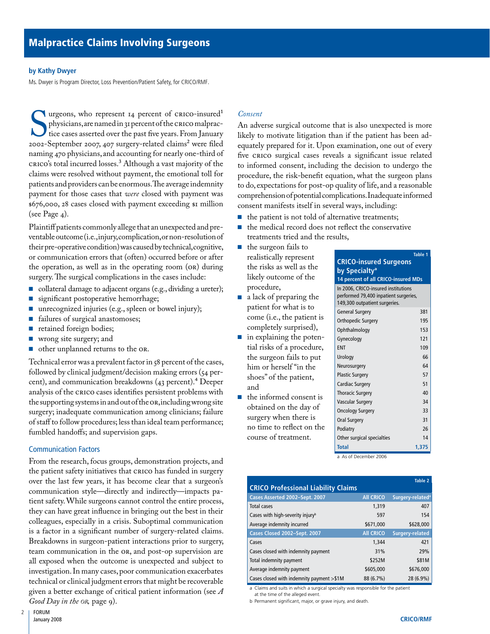#### **by Kathy Dwyer**

Ms. Dwyer is Program Director, Loss Prevention/Patient Safety, for CRICO/RMF.

patients and providers can be enormous. The average indemnity hysicians, are named in 31 percent of the crico misured<br>physicians, are named in 31 percent of the crico malprac-<br>tice cases asserted over the past five years. From January<br>2002-September 2007, 407 surgery-related claims<sup>2</sup> urgeons, who represent 14 percent of CRICO-insured<sup>1</sup> physicians,are named in 31 percent of the CRICO malpractice cases asserted over the past five years. From January naming 470 physicians,and accounting for nearly one-third of CRICO's total incurred losses.3 Although a vast majority of the claims were resolved without payment, the emotional toll for payment for those cases that *were* closed with payment was \$676,000, 28 cases closed with payment exceeding \$1 million (see Page 4).

 ventableoutcome(i.e.,injury,complication,ornon-resolutionof their pre-operative condition) was caused by technical,cognitive, Plaintiff patients commonly allege that an unexpected and preor communication errors that (often) occurred before or after the operation, as well as in the operating room (OR) during surgery. The surgical complications in the cases include:

- collateral damage to adjacent organs (e.g., dividing a ureter);
- significant postoperative hemorrhage;
- unrecognized injuries (e.g., spleen or bowel injury);
- failures of surgical anastomoses;
- retained foreign bodies;
- wrong site surgery; and
- other unplanned returns to the OR.

 the supporting systems in and out of the OR,includingwrongsite Technical error was a prevalent factor in 58 percent of the cases, followed by clinical judgment/decision making errors (54 percent), and communication breakdowns (43 percent).4 Deeper analysis of the CRICO cases identifies persistent problems with surgery; inadequate communication among clinicians; failure of staff to follow procedures; less than ideal team performance; fumbled handoffs; and supervision gaps.

#### Communication Factors

From the research, focus groups, demonstration projects, and the patient safety initiatives that CRICO has funded in surgery over the last few years, it has become clear that a surgeon's communication style—directly and indirectly—impacts patient safety. While surgeons cannot control the entire process, they can have great influence in bringing out the best in their colleagues, especially in a crisis. Suboptimal communication is a factor in a significant number of surgery-related claims. Breakdowns in surgeon-patient interactions prior to surgery, team communication in the OR, and post-op supervision are all exposed when the outcome is unexpected and subject to investigation. In many cases, poor communication exacerbates technical or clinical judgment errors that might be recoverable given a better exchange of critical patient information (see *A Good Day in the or,* page 9).

#### *Consent*

 comprehensionofpotentialcomplications.Inadequateinformed An adverse surgical outcome that is also unexpected is more likely to motivate litigation than if the patient has been adequately prepared for it. Upon examination, one out of every five CRICO surgical cases reveals a significant issue related to informed consent, including the decision to undergo the procedure, the risk-benefit equation, what the surgeon plans to do, expectations for post-op quality of life, and a reasonable consent manifests itself in several ways, including:

- the patient is not told of alternative treatments;
- the medical record does not reflect the conservative treatments tried and the results,
- the surgeon fails to realistically represent the risks as well as the likely outcome of the procedure,
- a lack of preparing the patient for what is to come (i.e., the patient is completely surprised),
- in explaining the potential risks of a procedure, the surgeon fails to put him or herself "in the shoes" of the patient, and
- the informed consent is obtained on the day of surgery when there is no time to reflect on the course of treatment.

|                                                                                                               | Table 1 |  |
|---------------------------------------------------------------------------------------------------------------|---------|--|
| <b>CRICO-insured Surgeons</b>                                                                                 |         |  |
| by Specialty <sup>a</sup>                                                                                     |         |  |
| 14 percent of all CRICO-insured MDs                                                                           |         |  |
| In 2006, CRICO-insured institutions<br>performed 79,400 inpatient surgeries,<br>149,300 outpatient surgeries. |         |  |
| <b>General Surgery</b>                                                                                        | 381     |  |
| Orthopedic Surgery                                                                                            | 195     |  |
| Ophthalmology                                                                                                 | 153     |  |
| Gynecology                                                                                                    | 121     |  |
| <b>FNT</b>                                                                                                    | 109     |  |
| Urology                                                                                                       | 66      |  |
| Neurosurgery                                                                                                  | 64      |  |
| <b>Plastic Surgery</b>                                                                                        | 57      |  |
| <b>Cardiac Surgery</b>                                                                                        | 51      |  |
| <b>Thoracic Surgery</b>                                                                                       | 40      |  |
| Vascular Surgery                                                                                              | 34      |  |
| <b>Oncology Surgery</b>                                                                                       | 33      |  |
| Oral Surgery                                                                                                  | 31      |  |
| Podiatry                                                                                                      | 26      |  |
| Other surgical specialties                                                                                    | 14      |  |
| <b>Total</b>                                                                                                  | 1,375   |  |

a As of December 2006

|                                              |                  | Table 2                      |  |  |  |
|----------------------------------------------|------------------|------------------------------|--|--|--|
| <b>CRICO Professional Liability Claims</b>   |                  |                              |  |  |  |
| Cases Asserted 2002-Sept. 2007               | <b>All CRICO</b> | Surgery-related <sup>a</sup> |  |  |  |
| Total cases                                  | 1.319            | 407                          |  |  |  |
| Cases with high-severity injury <sup>b</sup> | 597              | 154                          |  |  |  |
| Average indemnity incurred                   | \$671,000        | \$628,000                    |  |  |  |
| Cases Closed 2002-Sept. 2007                 | <b>All CRICO</b> | <b>Surgery-related</b>       |  |  |  |
| Cases                                        | 1.344            | 421                          |  |  |  |
| Cases closed with indemnity payment          | 31%              | 29%                          |  |  |  |
| Total indemnity payment                      | \$252M           | \$81M                        |  |  |  |
| Average indemnity payment                    | \$605,000        | \$676,000                    |  |  |  |
| Cases closed with indemnity payment $>$ \$1M | 88 (6.7%)        | 28 (6.9%)                    |  |  |  |

a Claims and suits in which a surgical specialty was responsible for the patient at the time of the alleged event.

b Permanent significant, major, or grave injury, and death.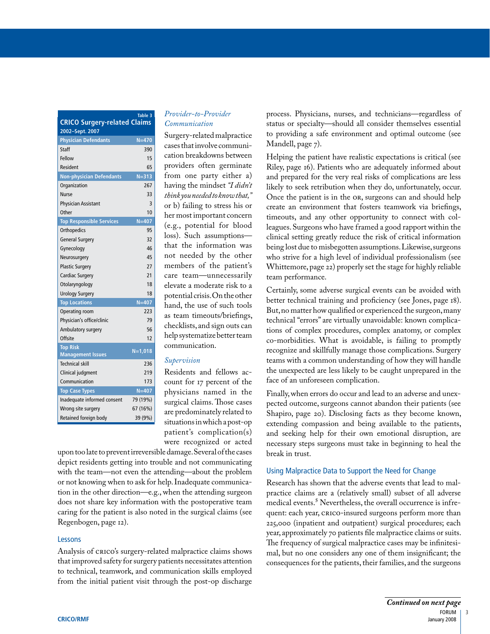| <b>CRICO Surgery-related Claims</b>            |           |  |  |
|------------------------------------------------|-----------|--|--|
| 2002-Sept. 2007<br><b>Physician Defendants</b> | $N=470$   |  |  |
| Staff                                          | 390       |  |  |
| Fellow                                         | 15        |  |  |
| Resident                                       | 65        |  |  |
| <b>Non-physician Defendants</b>                | $N = 313$ |  |  |
| Organization                                   | 267       |  |  |
| <b>Nurse</b>                                   | 33        |  |  |
| Physician Assistant                            | 3         |  |  |
| Other                                          | 10        |  |  |
| <b>Top Responsible Services</b>                | $N = 407$ |  |  |
| Orthopedics                                    | 95        |  |  |
| <b>General Surgery</b>                         | 32        |  |  |
| Gynecology                                     | 46        |  |  |
| Neurosurgery                                   | 45        |  |  |
| <b>Plastic Surgery</b>                         | 27        |  |  |
| <b>Cardiac Surgery</b>                         | 21        |  |  |
| Otolaryngology                                 | 18        |  |  |
| <b>Urology Surgery</b>                         | 18        |  |  |
| <b>Top Locations</b>                           | $N = 407$ |  |  |
| Operating room                                 | 223       |  |  |
| Physician's office/clinic                      | 79        |  |  |
| Ambulatory surgery                             | 56        |  |  |
| Offsite                                        | 12        |  |  |
| <b>Top Risk</b><br><b>Management Issues</b>    | $N=1,018$ |  |  |
| <b>Technical skill</b>                         | 236       |  |  |
| Clinical judgment                              | 219       |  |  |
| Communication                                  | 173       |  |  |
| <b>Top Case Types</b>                          | $N = 407$ |  |  |
| Inadequate informed consent                    | 79 (19%)  |  |  |
| Wrong site surgery                             | 67 (16%)  |  |  |
| Retained foreign body                          | 39 (9%)   |  |  |

#### *Provider-to-Provider Communication*

**Table 3** 

 providers often germinate from one party either a) (e.g., potential for blood that the information was not needed by the other members of the patient's potential crisis. On the other help systematize better team Surgery-related malpractice cases that involve communication breakdowns between having the mindset *"I didn't think you needed to know that,"* or b) failing to stress his or her most important concern loss). Such assumptions care team—unnecessarily elevate a moderate risk to a hand, the use of such tools as team timeouts/briefings, checklists,and sign outs can communication.

#### *Supervision*

 physicians named in the situationsinwhichapost-op were recognized or acted Residents and fellows account for 17 percent of the surgical claims. Those cases are predominately related to patient's complication(s)

upon too late to prevent irreversible damage. Several of the cases depict residents getting into trouble and not communicating with the team—not even the attending—about the problem or not knowing when to ask for help. Inadequate communication in the other direction—e.g., when the attending surgeon does not share key information with the postoperative team caring for the patient is also noted in the surgical claims (see Regenbogen, page 12).

#### Lessons

 to technical, teamwork, and communication skills employed Analysis of CRICO's surgery-related malpractice claims shows that improved safety for surgery patients necessitates attention from the initial patient visit through the post-op discharge

 process. Physicians, nurses, and technicians—regardless of status or specialty—should all consider themselves essential to providing a safe environment and optimal outcome (see Mandell, page 7).

 Riley, page 16). Patients who are adequately informed about likely to seek retribution when they do, unfortunately, occur. being lost due to misbegotten assumptions.Likewise,surgeons Helping the patient have realistic expectations is critical (see and prepared for the very real risks of complications are less Once the patient is in the OR, surgeons can and should help create an environment that fosters teamwork via briefings, timeouts, and any other opportunity to connect with colleagues. Surgeons who have framed a good rapport within the clinical setting greatly reduce the risk of critical information who strive for a high level of individual professionalism (see Whittemore, page 22) properly set the stage for highly reliable team performance.

 better technical training and proficiency (see Jones, page 18). co-morbidities. What is avoidable, is failing to promptly Certainly, some adverse surgical events can be avoided with But,no matter how qualified or experienced the surgeon,many technical "errors" are virtually unavoidable: known complications of complex procedures, complex anatomy, or complex recognize and skillfully manage those complications. Surgery teams with a common understanding of how they will handle the unexpected are less likely to be caught unprepared in the face of an unforeseen complication.

 Shapiro, page 20). Disclosing facts as they become known, Finally, when errors do occur and lead to an adverse and unexpected outcome, surgeons cannot abandon their patients (see extending compassion and being available to the patients, and seeking help for their own emotional disruption, are necessary steps surgeons must take in beginning to heal the break in trust.

#### Using Malpractice Data to Support the Need for Change

 quent: each year, CRICO-insured surgeons perform more than Research has shown that the adverse events that lead to malpractice claims are a (relatively small) subset of all adverse medical events.<sup>5</sup> Nevertheless, the overall occurrence is infre-225,000 (inpatient and outpatient) surgical procedures; each year, approximately 70 patients file malpractice claims or suits. The frequency of surgical malpractice cases may be infinitesimal, but no one considers any one of them insignificant; the consequences for the patients, their families, and the surgeons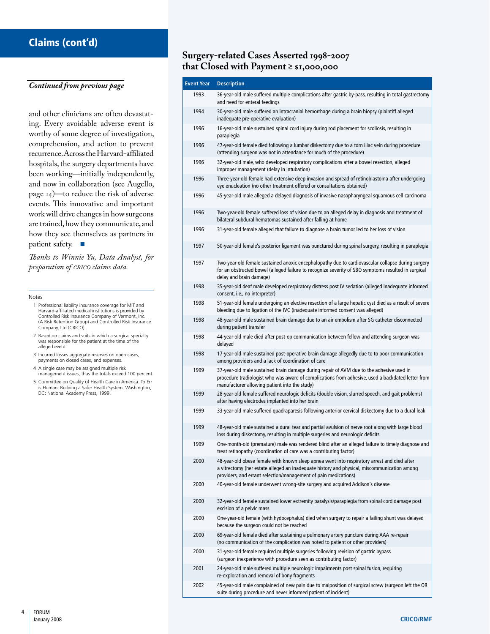# Claims (cont'd)

#### *Continued from previous page*

recurrence.Across the Harvard-affiliated and other clinicians are often devastating. Every avoidable adverse event is worthy of some degree of investigation, comprehension, and action to prevent hospitals, the surgery departments have been working—initially independently, and now in collaboration (see Augello, page 14)—to reduce the risk of adverse events. This innovative and important work will drive changes in how surgeons are trained,how they communicate,and how they see themselves as partners in patient safety. ■

*Thanks to Winnie Yu, Data Analyst, for preparation of crico claims data.* 

#### Notes

- 1 Professional liability insurance coverage for MIT and Harvard-affiliated medical institutions is provided by Controlled Risk Insurance Company of Vermont, Inc. (A Risk Retention Group) and Controlled Risk Insurance Company, Ltd (CRICO).
- 2 Based on claims and suits in which a surgical specialty was responsible for the patient at the time of the alleged event.
- 3 Incurred losses aggregate reserves on open cases, payments on closed cases, and expenses.
- 4 A single case may be assigned multiple risk management issues, thus the totals exceed 100 percent.
- 5 Committee on Quality of Health Care in America. To Err is Human: Building a Safer Health System. Washington, DC: National Academy Press, 1999.

## **Surgery-related Cases Asserted 1998-2007 that Closed with Payment ≥ \$1,000,000**

| <b>Event Year</b> | <b>Description</b>                                                                                                                                                                                                                                            |
|-------------------|---------------------------------------------------------------------------------------------------------------------------------------------------------------------------------------------------------------------------------------------------------------|
| 1993              | 36-year-old male suffered multiple complications after gastric by-pass, resulting in total gastrectomy<br>and need for enteral feedings                                                                                                                       |
| 1994              | 30-year-old male suffered an intracranial hemorrhage during a brain biopsy (plaintiff alleged<br>inadequate pre-operative evaluation)                                                                                                                         |
| 1996              | 16-year-old male sustained spinal cord injury during rod placement for scoliosis, resulting in<br>paraplegia                                                                                                                                                  |
| 1996              | 47-year-old female died following a lumbar diskectomy due to a torn iliac vein during procedure<br>(attending surgeon was not in attendance for much of the procedure)                                                                                        |
| 1996              | 32-year-old male, who developed respiratory complications after a bowel resection, alleged<br>improper management (delay in intubation)                                                                                                                       |
| 1996              | Three-year-old female had extensive deep invasion and spread of retinoblastoma after undergoing<br>eye enucleation (no other treatment offered or consultations obtained)                                                                                     |
| 1996              | 45-year-old male alleged a delayed diagnosis of invasive nasopharyngeal squamous cell carcinoma                                                                                                                                                               |
| 1996              | Two-year-old female suffered loss of vision due to an alleged delay in diagnosis and treatment of<br>bilateral subdural hematomas sustained after falling at home                                                                                             |
| 1996              | 31-year-old female alleged that failure to diagnose a brain tumor led to her loss of vision                                                                                                                                                                   |
| 1997              | 50-year-old female's posterior ligament was punctured during spinal surgery, resulting in paraplegia                                                                                                                                                          |
| 1997              | Two-year-old female sustained anoxic encephalopathy due to cardiovascular collapse during surgery<br>for an obstructed bowel (alleged failure to recognize severity of SBO symptoms resulted in surgical<br>delay and brain damage)                           |
| 1998              | 35-year-old deaf male developed respiratory distress post IV sedation (alleged inadequate informed<br>consent, i.e., no interpreter)                                                                                                                          |
| 1998              | 51-year-old female undergoing an elective resection of a large hepatic cyst died as a result of severe<br>bleeding due to ligation of the IVC (inadequate informed consent was alleged)                                                                       |
| 1998              | 48-year-old male sustained brain damage due to an air embolism after SG catheter disconnected<br>during patient transfer                                                                                                                                      |
| 1998              | 44-year-old male died after post-op communication between fellow and attending surgeon was<br>delayed                                                                                                                                                         |
| 1998              | 17-year-old male sustained post-operative brain damage allegedly due to to poor communication<br>among providers and a lack of coordination of care                                                                                                           |
| 1999              | 37-year-old male sustained brain damage during repair of AVM due to the adhesive used in<br>procedure (radiologist who was aware of complications from adhesive, used a backdated letter from<br>manufacturer allowing patient into the study)                |
| 1999              | 28-year-old female suffered neurologic deficits (double vision, slurred speech, and gait problems)<br>after having electrodes implanted into her brain                                                                                                        |
| 1999              | 33-year-old male suffered quadraparesis following anterior cervical diskectomy due to a dural leak                                                                                                                                                            |
| 1999              | 48-year-old male sustained a dural tear and partial avulsion of nerve root along with large blood<br>loss during diskectomy, resulting in multiple surgeries and neurologic deficits                                                                          |
| 1999              | One-month-old (premature) male was rendered blind after an alleged failure to timely diagnose and<br>treat retinopathy (coordination of care was a contributing factor)                                                                                       |
| 2000              | 48-year-old obese female with known sleep apnea went into respiratory arrest and died after<br>a vitrectomy (her estate alleged an inadequate history and physical, miscommunication among<br>providers, and errant selection/management of pain medications) |
| 2000              | 40-year-old female underwent wrong-site surgery and acquired Addison's disease                                                                                                                                                                                |
| 2000              | 32-year-old female sustained lower extremity paralysis/paraplegia from spinal cord damage post<br>excision of a pelvic mass                                                                                                                                   |
| 2000              | One-year-old female (with hydocephalus) died when surgery to repair a failing shunt was delayed<br>because the surgeon could not be reached                                                                                                                   |
| 2000              | 69-year-old female died after sustaining a pulmonary artery puncture during AAA re-repair<br>(no communication of the complication was noted to patient or other providers)                                                                                   |
| 2000              | 31-year-old female required multiple surgeries following revision of gastric bypass<br>(surgeon inexperience with procedure seen as contributing factor)                                                                                                      |
| 2001              | 24-year-old male suffered multiple neurologic impairments post spinal fusion, requiring<br>re-exploration and removal of bony fragments                                                                                                                       |
| 2002              | 45-year-old male complained of new pain due to malposition of surgical screw (surgeon left the OR<br>suite during procedure and never informed patient of incident)                                                                                           |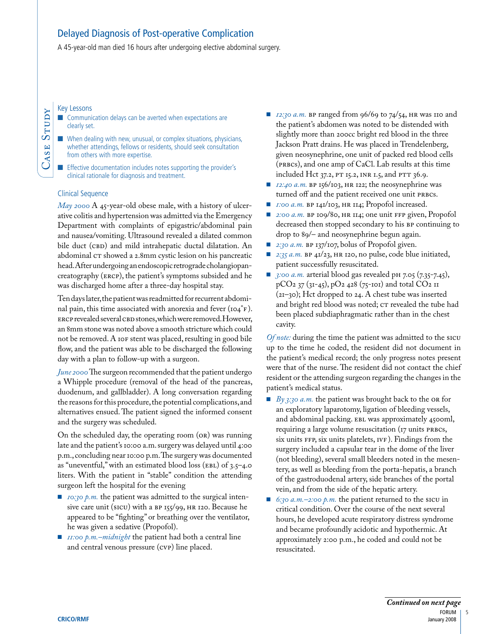# Delayed Diagnosis of Post-operative Complication

A 45-year-old man died 16 hours after undergoing elective abdominal surgery.

Key Lessons

CaSe

Study

■ Communication delays can be averted when expectations are clearly set.

■ When dealing with new, unusual, or complex situations, physicians, whether attendings, fellows or residents, should seek consultation from others with more expertise.

■ Effective documentation includes notes supporting the provider's clinical rationale for diagnosis and treatment.

#### Clinical Sequence

*May 2000* A 45-year-old obese male, with a history of ulcerative colitis and hypertension was admitted via the Emergency Department with complaints of epigastric/abdominal pain and nausea/vomiting. Ultrasound revealed a dilated common bile duct (CBD) and mild intrahepatic ductal dilatation. An abdominal  $cr$  showed a 2.8mm cystic lesion on his pancreatic head.After undergoing an endoscopic retrograde cholangiopancreatography (eRCP), the patient's symptoms subsided and he was discharged home after a three-day hospital stay.

 eRCPrevealed several CBdstones,which were removed.However, not be removed. A 10F stent was placed, resulting in good bile Ten days later, the patient was readmitted for recurrent abdominal pain, this time associated with anorexia and fever (104°F ). an 8mm stone was noted above a smooth stricture which could flow, and the patient was able to be discharged the following day with a plan to follow-up with a surgeon.

*June 2000* The surgeon recommended that the patient undergo a Whipple procedure (removal of the head of the pancreas, duodenum, and gallbladder). A long conversation regarding the reasons for this procedure, the potential complications, and alternatives ensued. The patient signed the informed consent and the surgery was scheduled.

On the scheduled day, the operating room (OR) was running late and the patient's 10:00 a.m. surgery was delayed until 4:00 p.m.,concluding near 10:00 p.m.The surgery was documented as "uneventful," with an estimated blood loss (eBL) of 3.5–4.0 liters. With the patient in "stable" condition the attending surgeon left the hospital for the evening

- *10:30 p.m.* the patient was admitted to the surgical intensive care unit (SICu) with a BP 155/99, HR 120. Because he appeared to be "fighting" or breathing over the ventilator, he was given a sedative (Propofol).
- *11:00 p.m.–midnight* the patient had both a central line and central venous pressure (CVP) line placed.
- included Hct 37.2, Pt 15.2, INR 1.5, and Ptt 36.9. ■ *12:30 a.m.* BP ranged from 96/69 to 74/54, HR was 110 and the patient's abdomen was noted to be distended with slightly more than 200cc bright red blood in the three Jackson Pratt drains. He was placed in Trendelenberg, given neosynephrine, one unit of packed red blood cells (PRBCs), and one amp of CaCl. Lab results at this time
- *12:40 a.m.* BP 156/103, HR 122; the neosynephrine was turned off and the patient received one unit PRBCs.
- *1:00 a.m.* BP 141/103, HR 114; Propofol increased.
- *2:00 a.m.* BP 109/80, HR 114; one unit FFP given, Propofol decreased then stopped secondary to his BP continuing to drop to 89/– and neosynephrine begun again.
- *2:30 a.m.* BP 137/107, bolus of Propofol given.
- *2:35 a.m.* BP 41/23, HR 120, no pulse, code blue initiated, patient successfully resuscitated.
- *3:00 a.m.* arterial blood gas revealed pH 7.05 (7.35-7.45), pCO<sub>2</sub> 37 (31-45), pO<sub>2</sub> 428 (75-101) and total CO<sub>2</sub> 11 (21–30); Hct dropped to 24. A chest tube was inserted and bright red blood was noted; CT revealed the tube had been placed subdiaphragmatic rather than in the chest cavity.

*Of note:* during the time the patient was admitted to the sICU up to the time he coded, the resident did not document in the patient's medical record; the only progress notes present were that of the nurse. The resident did not contact the chief resident or the attending surgeon regarding the changes in the patient's medical status.

- *By 3:30 a.m.* the patient was brought back to the OR for an exploratory laparotomy, ligation of bleeding vessels, and abdominal packing. eBL was approximately 4500ml, requiring a large volume resuscitation (17 units PRBCs, six units FFP, six units platelets, IVF ). Findings from the surgery included a capsular tear in the dome of the liver (not bleeding), several small bleeders noted in the mesentery, as well as bleeding from the porta-hepatis, a branch of the gastroduodenal artery, side branches of the portal vein, and from the side of the hepatic artery.
- *6:30 a.m.* −2:00 *p.m.* the patient returned to the sicu in critical condition. Over the course of the next several hours, he developed acute respiratory distress syndrome and became profoundly acidotic and hypothermic. At approximately 2:00 p.m., he coded and could not be resuscitated.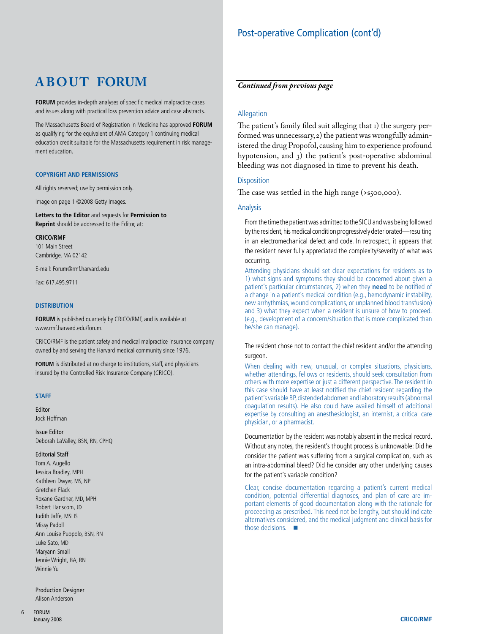# Post-operative Complication (cont'd)

# **A B O U T FORUM**

**FORUM** provides in-depth analyses of specific medical malpractice cases and issues along with practical loss prevention advice and case abstracts.

The Massachusetts Board of Registration in Medicine has approved **FORUM**  as qualifying for the equivalent of AMA Category 1 continuing medical education credit suitable for the Massachusetts requirement in risk management education.

#### **COpyRIght aND peRMIssIONs**

All rights reserved; use by permission only.

Image on page 1 ©2008 Getty Images.

**Letters to the editor** and requests for **permission to Reprint** should be addressed to the Editor, at:

**CRICO/RMF** 

101 Main Street Cambridge, MA 02142

E-mail: [Forum@rmf.harvard.edu](mailto:Forum@rmf.harvard.edu) 

Fax: 617.495.9711

#### **DIstRIBUtION**

**FORUM** is published quarterly by CRICO/RMF, and is available at [www.rmf.harvard.edu/forum.](http://www.rmf.harvard.edu/forum)

CRICO/RMF is the patient safety and medical malpractice insurance company owned by and serving the Harvard medical community since 1976.

**FORUM** is distributed at no charge to institutions, staff, and physicians insured by the Controlled Risk Insurance Company (CRICO).

#### **staFF**

Editor Jock Hoffman

Issue Editor Deborah LaValley, BSN, RN, CPHQ

#### Editorial Staff

 Tom A. Augello Jessica Bradley, MPH Kathleen Dwyer, MS, NP Roxane Gardner, MD, MPH Robert Hanscom, JD Judith Jaffe, MSLIS Ann Louise Puopolo, BSN, RN Jennie Wright, BA, RN Gretchen Flack Missy Padoll Luke Sato, MD Maryann Small Winnie Yu

Production Designer Alison Anderson

## *Continued from previous page*

#### Allegation

The patient's family filed suit alleging that 1) the surgery performed was unnecessary,2) the patient was wrongfully administered the drug Propofol, causing him to experience profound hypotension, and 3) the patient's post-operative abdominal bleeding was not diagnosed in time to prevent his death.

#### **Disposition**

The case was settled in the high range (>\$500,000).

#### Analysis

by the resident, his medical condition progressively deteriorated—resulting in an electromechanical defect and code. In retrospect, it appears that From the time the patient was admitted to the SICU and was being followed the resident never fully appreciated the complexity/severity of what was occurring.

Attending physicians should set clear expectations for residents as to 1) what signs and symptoms they should be concerned about given a patient's particular circumstances, 2) when they **need** to be notified of a change in a patient's medical condition (e.g., hemodynamic instability, new arrhythmias, wound complications, or unplanned blood transfusion) and 3) what they expect when a resident is unsure of how to proceed. (e.g., development of a concern/situation that is more complicated than he/she can manage).

The resident chose not to contact the chief resident and/or the attending surgeon.

 When dealing with new, unusual, or complex situations, physicians, expertise by consulting an anesthesiologist, an internist, a critical care whether attendings, fellows or residents, should seek consultation from others with more expertise or just a different perspective. The resident in this case should have at least notified the chief resident regarding the patient's variable BP, distended abdomen and laboratory results (abnormal coagulation results). He also could have availed himself of additional physician, or a pharmacist.

Documentation by the resident was notably absent in the medical record. Without any notes, the resident's thought process is unknowable: Did he consider the patient was suffering from a surgical complication, such as an intra-abdominal bleed? Did he consider any other underlying causes for the patient's variable condition?

 Clear, concise documentation regarding a patient's current medical portant elements of good documentation along with the rationale for alternatives considered, and the medical judgment and clinical basis for condition, potential differential diagnoses, and plan of care are improceeding as prescribed. This need not be lengthy, but should indicate those decisions. ■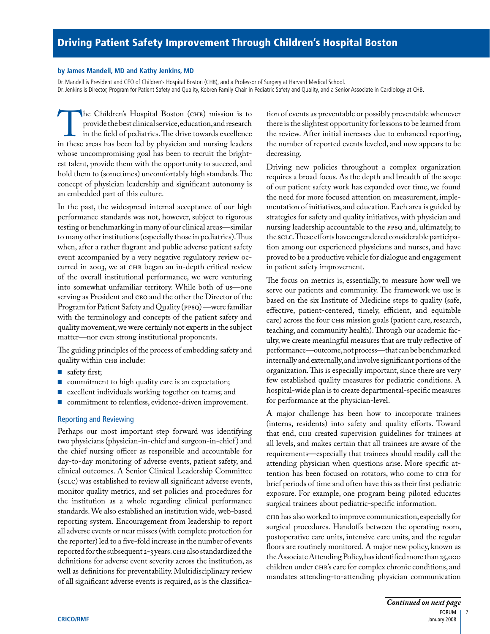#### **by James Mandell, MD and Kathy Jenkins, MD**

Dr. Mandell is President and CEO of Children's Hospital Boston (CHB), and a Professor of Surgery at Harvard Medical School. Dr. Jenkins is Director, Program for Patient Safety and Quality, Kobren Family Chair in Pediatric Safety and Quality, and a Senior Associate in Cardiology at CHB.

provide the best clinical service, education, and research The Children's Hospital Boston (CHB) mission is to provide the best clinical service, education, and research in the field of pediatrics. The drive towards excellence in these areas has been led by physician and nursing le in the field of pediatrics.The drive towards excellence whose uncompromising goal has been to recruit the brightest talent, provide them with the opportunity to succeed, and hold them to (sometimes) uncomfortably high standards.The concept of physician leadership and significant autonomy is an embedded part of this culture.

 performance standards was not, however, subject to rigorous curred in 2003, we at CHB began an in-depth critical review In the past, the widespread internal acceptance of our high testing or benchmarking in many of our clinical areas—similar to many other institutions (especially those in pediatrics).Thus when, after a rather flagrant and public adverse patient safety event accompanied by a very negative regulatory review ocof the overall institutional performance, we were venturing into somewhat unfamiliar territory. While both of us—one serving as President and CEO and the other the Director of the Program for Patient Safety and Quality (PPSQ) —were familiar with the terminology and concepts of the patient safety and quality movement,we were certainly not experts in the subject matter—nor even strong institutional proponents.

The guiding principles of the process of embedding safety and quality within CHB include:

- safety first;
- commitment to high quality care is an expectation;
- excellent individuals working together on teams; and
- commitment to relentless, evidence-driven improvement.

#### Reporting and Reviewing

 reported for the subsequent 2-3 years.CHB also standardized the Perhaps our most important step forward was identifying two physicians (physician-in-chief and surgeon-in-chief ) and the chief nursing officer as responsible and accountable for day-to-day monitoring of adverse events, patient safety, and clinical outcomes. A Senior Clinical Leadership Committee (SCLC) was established to review all significant adverse events, monitor quality metrics, and set policies and procedures for the institution as a whole regarding clinical performance standards. We also established an institution wide, web-based reporting system. Encouragement from leadership to report all adverse events or near misses (with complete protection for the reporter) led to a five-fold increase in the number of events definitions for adverse event severity across the institution, as well as definitions for preventability. Multidisciplinary review of all significant adverse events is required, as is the classifica-

tion of events as preventable or possibly preventable whenever there is the slightest opportunity for lessons to be learned from the review. After initial increases due to enhanced reporting, the number of reported events leveled, and now appears to be decreasing.

 Driving new policies throughout a complex organization nursing leadership accountable to the PPSQ and, ultimately, to requires a broad focus. As the depth and breadth of the scope of our patient safety work has expanded over time, we found the need for more focused attention on measurement, implementation of initiatives, and education. Each area is guided by strategies for safety and quality initiatives, with physician and the SCLC.These efforts have engendered considerable participation among our experienced physicians and nurses, and have proved to be a productive vehicle for dialogue and engagement in patient safety improvement.

 The focus on metrics is, essentially, to measure how well we effective, patient-centered, timely, efficient, and equitable care) across the four CHB mission goals (patient care, research, performance—outcome,notprocess—thatcanbebenchmarked serve our patients and community. The framework we use is based on the six Institute of Medicine steps to quality (safe, teaching, and community health).Through our academic faculty, we create meaningful measures that are truly reflective of internally and externally,and involve significant portions of the organization. This is especially important, since there are very few established quality measures for pediatric conditions. A hospital-wide plan is to create departmental-specific measures for performance at the physician-level.

 that end, CHB created supervision guidelines for trainees at A major challenge has been how to incorporate trainees (interns, residents) into safety and quality efforts. Toward all levels, and makes certain that all trainees are aware of the requirements—especially that trainees should readily call the attending physician when questions arise. More specific attention has been focused on rotators, who come to CHB for brief periods of time and often have this as their first pediatric exposure. For example, one program being piloted educates surgical trainees about pediatric-specific information.

 theAssociateAttending Policy,hasidentifiedmorethan25,000 CHB has also worked to improve communication,especially for surgical procedures. Handoffs between the operating room, postoperative care units, intensive care units, and the regular floors are routinely monitored. A major new policy, known as children under CHB's care for complex chronic conditions, and mandates attending-to-attending physician communication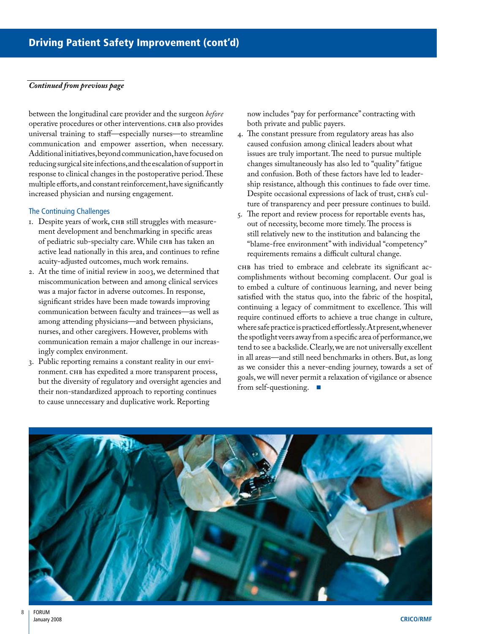#### *Continued from previous page*

 operative procedures or other interventions. CHB also provides communication and empower assertion, when necessary. Additional initiatives, beyond communication, have focused on reducing surgical site infections, and the escalation of support in between the longitudinal care provider and the surgeon *before*  universal training to staff—especially nurses—to streamline response to clinical changes in the postoperative period.These multiple efforts,and constant reinforcement,have significantly increased physician and nursing engagement.

#### The Continuing Challenges

- 1. Despite years of work, CHB still struggles with measurement development and benchmarking in specific areas of pediatric sub-specialty care. While CHB has taken an active lead nationally in this area, and continues to refine acuity-adjusted outcomes, much work remains.
- 2. At the time of initial review in 2003, we determined that miscommunication between and among clinical services was a major factor in adverse outcomes. In response, significant strides have been made towards improving communication between faculty and trainees—as well as among attending physicians—and between physicians, nurses, and other caregivers. However, problems with communication remain a major challenge in our increasingly complex environment.
- 3. Public reporting remains a constant reality in our environment. CHB has expedited a more transparent process, but the diversity of regulatory and oversight agencies and their non-standardized approach to reporting continues to cause unnecessary and duplicative work. Reporting

now includes "pay for performance" contracting with both private and public payers.

- 4. The constant pressure from regulatory areas has also caused confusion among clinical leaders about what issues are truly important. The need to pursue multiple changes simultaneously has also led to "quality" fatigue and confusion. Both of these factors have led to leadership resistance, although this continues to fade over time. Despite occasional expressions of lack of trust, CHB's culture of transparency and peer pressure continues to build.
- 5. The report and review process for reportable events has, out of necessity, become more timely. The process is still relatively new to the institution and balancing the "blame-free environment" with individual "competency" requirements remains a difficult cultural change.

 wheresafepracticeispracticedeffortlessly.Atpresent,whenever tend to see a backslide.Clearly,we are not universally excellent in all areas—and still need benchmarks in others. But, as long CHB has tried to embrace and celebrate its significant accomplishments without becoming complacent. Our goal is to embed a culture of continuous learning, and never being satisfied with the status quo, into the fabric of the hospital, continuing a legacy of commitment to excellence. This will require continued efforts to achieve a true change in culture, the spotlight veers away from a specific area of performance,we as we consider this a never-ending journey, towards a set of goals, we will never permit a relaxation of vigilance or absence from self-questioning. ■

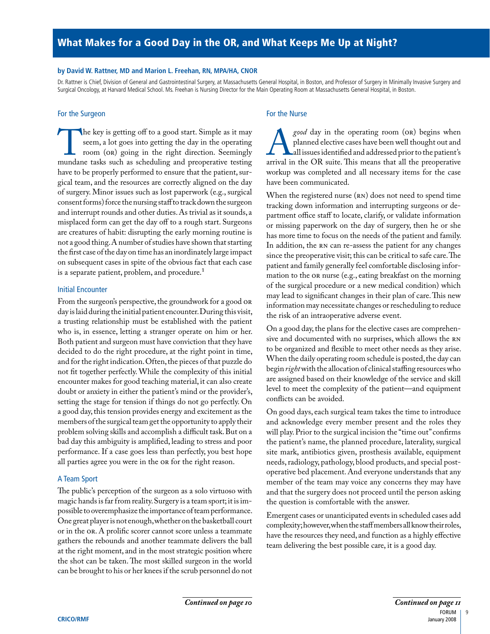# What Makes for a Good Day in the OR, and What Keeps Me Up at Night?

#### **by David W. Rattner, MD and Marion L. Freehan, RN, Mpa/ha, CNOR**

Dr. Rattner is Chief, Division of General and Gastrointestinal Surgery, at Massachusetts General Hospital, in Boston, and Professor of Surgery in Minimally Invasive Surgery and Surgical Oncology, at Harvard Medical School. Ms. Freehan is Nursing Director for the Main Operating Room at Massachusetts General Hospital, in Boston.

#### For the Surgeon For the Nurse

consent forms) force the nursing staff to track down the surgeon The key is getting off to a good start. Simple as it may seem, a lot goes into getting the day in the operating room (or,) going in the right direction. Seemingly mundane tasks such as scheduling and preoperative testing seem, a lot goes into getting the day in the operating room (OR) going in the right direction. Seemingly have to be properly performed to ensure that the patient, surgical team, and the resources are correctly aligned on the day of surgery. Minor issues such as lost paperwork (e.g., surgical and interrupt rounds and other duties.As trivial as it sounds,a misplaced form can get the day off to a rough start. Surgeons are creatures of habit: disrupting the early morning routine is not a good thing.A number of studies have shown that starting the first case of the day on time has an inordinately large impact on subsequent cases in spite of the obvious fact that each case is a separate patient, problem, and procedure.<sup>1</sup>

#### Initial Encounter

 who is, in essence, letting a stranger operate on him or her. and for the right indication.Often,the pieces of that puzzle do From the surgeon's perspective, the groundwork for a good OR day is laid during the initial patient encounter.During this visit, a trusting relationship must be established with the patient Both patient and surgeon must have conviction that they have decided to do the right procedure, at the right point in time, not fit together perfectly. While the complexity of this initial encounter makes for good teaching material, it can also create doubt or anxiety in either the patient's mind or the provider's, setting the stage for tension if things do not go perfectly. On a good day, this tension provides energy and excitement as the members of the surgical team get the opportunity to apply their problem solving skills and accomplish a difficult task.But on a bad day this ambiguity is amplified, leading to stress and poor performance. If a case goes less than perfectly, you best hope all parties agree you were in the OR for the right reason.

#### A Team Sport

possible to overemphasize the importance of team performance. The public's perception of the surgeon as a solo virtuoso with magic hands is far from reality.Surgery is a team sport; it is im-One great player is not enough,whether on the basketball court or in the OR. A prolific scorer cannot score unless a teammate gathers the rebounds and another teammate delivers the ball at the right moment, and in the most strategic position where the shot can be taken. The most skilled surgeon in the world can be brought to his or her knees if the scrub personnel do not

*good* day in the operating room (OR) begins when<br>planned elective cases have been well thought out and<br>all issues identified and addressed prior to the patient's<br>arrival in the OR suite. This means that all the preoperati planned elective cases have been well thought out and all issues identified and addressed prior to the patient's arrival in the OR suite. This means that all the preoperative workup was completed and all necessary items for the case have been communicated.

 partment office staff to locate, clarify, or validate information In addition, the RN can re-assess the patient for any changes mation to the OR nurse (e.g., eating breakfast on the morning When the registered nurse (RN) does not need to spend time tracking down information and interrupting surgeons or deor missing paperwork on the day of surgery, then he or she has more time to focus on the needs of the patient and family. since the preoperative visit; this can be critical to safe care.The patient and family generally feel comfortable disclosing inforof the surgical procedure or a new medical condition) which may lead to significant changes in their plan of care.This new information may necessitate changes or rescheduling to reduce the risk of an intraoperative adverse event.

On a good day, the plans for the elective cases are comprehensive and documented with no surprises, which allows the RN to be organized and flexible to meet other needs as they arise. When the daily operating room schedule is posted, the day can begin *right* with the allocation of clinical staffing resources who are assigned based on their knowledge of the service and skill level to meet the complexity of the patient—and equipment conflicts can be avoided.

 On good days, each surgical team takes the time to introduce and acknowledge every member present and the roles they will play. Prior to the surgical incision the "time out"confirms the patient's name, the planned procedure, laterality, surgical site mark, antibiotics given, prosthesis available, equipment needs, radiology, pathology, blood products, and special post- member of the team may voice any concerns they may have and that the surgery does not proceed until the person asking operative bed placement. And everyone understands that any the question is comfortable with the answer.

 Emergent cases or unanticipated events in scheduled cases add complexity;however,when the staff members all know their roles, have the resources they need, and function as a highly effective team delivering the best possible care, it is a good day.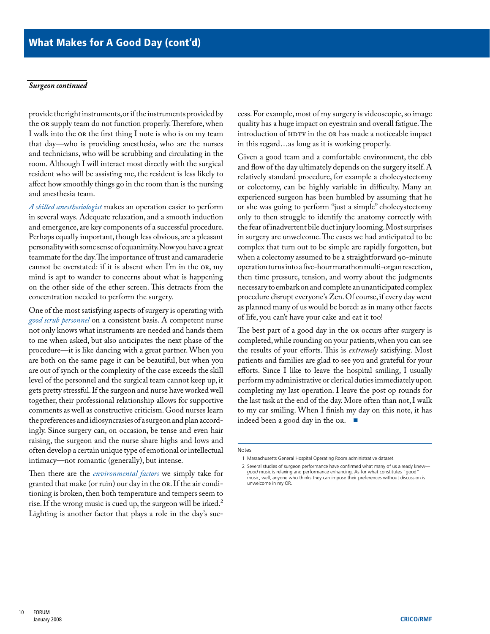#### *Surgeon continued*

the or supply team do not function properly. Therefore, when provide the right instruments,or if the instruments provided by I walk into the OR the first thing I note is who is on my team that day—who is providing anesthesia, who are the nurses and technicians, who will be scrubbing and circulating in the room. Although I will interact most directly with the surgical resident who will be assisting me, the resident is less likely to affect how smoothly things go in the room than is the nursing and anesthesia team.

personality with some sense of equanimity. Now you have a great *A skilled anesthesiologist* makes an operation easier to perform in several ways. Adequate relaxation, and a smooth induction and emergence, are key components of a successful procedure. Perhaps equally important, though less obvious, are a pleasant teammate for the day.The importance of trust and camaraderie cannot be overstated: if it is absent when I'm in the OR, my mind is apt to wander to concerns about what is happening on the other side of the ether screen. This detracts from the concentration needed to perform the surgery.

 the preferences and idiosyncrasies of asurgeon and plan accord- ingly. Since surgery can, on occasion, be tense and even hair One of the most satisfying aspects of surgery is operating with *good scrub personnel* on a consistent basis. A competent nurse not only knows what instruments are needed and hands them to me when asked, but also anticipates the next phase of the procedure—it is like dancing with a great partner. When you are both on the same page it can be beautiful, but when you are out of synch or the complexity of the case exceeds the skill level of the personnel and the surgical team cannot keep up, it gets pretty stressful.If the surgeon and nurse have worked well together, their professional relationship allows for supportive comments as well as constructive criticism. Good nurses learn raising, the surgeon and the nurse share highs and lows and often develop a certain unique type of emotional or intellectual intimacy—not romantic (generally), but intense.

Then there are the *environmental factors* we simply take for granted that make (or ruin) our day in the OR. If the air conditioning is broken, then both temperature and tempers seem to rise. If the wrong music is cued up, the surgeon will be irked.<sup>2</sup> Lighting is another factor that plays a role in the day's suc-

introduction of HDTV in the OR has made a noticeable impact cess. For example, most of my surgery is videoscopic, so image quality has a huge impact on eyestrain and overall fatigue.The in this regard…as long as it is working properly.

 then time pressure, tension, and worry about the judgments necessary to embark on and complete an unanticipated complex procedure disrupt everyone's Zen.Of course,if every day went Given a good team and a comfortable environment, the ebb and flow of the day ultimately depends on the surgery itself. A relatively standard procedure, for example a cholecystectomy or colectomy, can be highly variable in difficulty. Many an experienced surgeon has been humbled by assuming that he or she was going to perform "just a simple" cholecystectomy only to then struggle to identify the anatomy correctly with the fear of inadvertent bile duct injury looming.Most surprises in surgery are unwelcome. The cases we had anticipated to be complex that turn out to be simple are rapidly forgotten, but when a colectomy assumed to be a straightforward 90-minute operation turns into a five-hour marathon multi-organ resection, as planned many of us would be bored: as in many other facets of life, you can't have your cake and eat it too!

 the results of your efforts. This is *extremely* satisfying. Most The best part of a good day in the OR occurs after surgery is completed,while rounding on your patients,when you can see patients and families are glad to see you and grateful for your efforts. Since I like to leave the hospital smiling, I usually perform my administrative or clerical duties immediately upon completing my last operation. I leave the post op rounds for the last task at the end of the day. More often than not, I walk to my car smiling. When I finish my day on this note, it has indeed been a good day in the OR. ■

Notes

<sup>1</sup> Massachusetts General Hospital Operating Room administrative dataset.

<sup>2</sup> Several studies of surgeon performance have confirmed what many of us already knew *good* music is relaxing and performance enhancing. As for what constitutes "good"<br>music, well, anyone who thinks they can impose their preferences without discussion is unwelcome in my OR.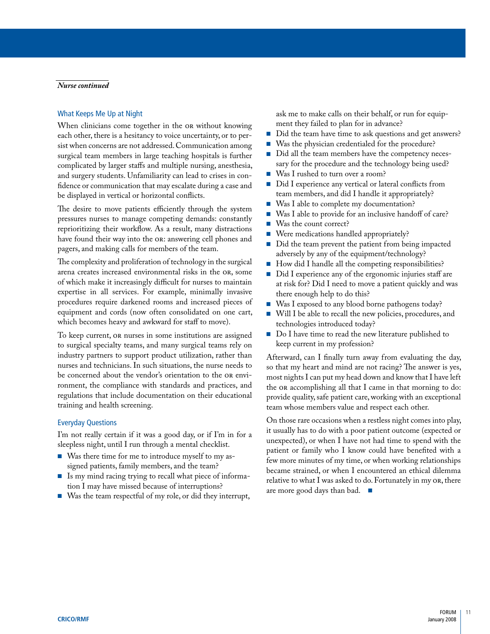#### *Nurse continued*

#### What Keeps Me Up at Night

 complicated by larger staffs and multiple nursing, anesthesia, When clinicians come together in the OR without knowing each other, there is a hesitancy to voice uncertainty, or to persist when concerns are not addressed. Communication among surgical team members in large teaching hospitals is further and surgery students. Unfamiliarity can lead to crises in confidence or communication that may escalate during a case and be displayed in vertical or horizontal conflicts.

 reprioritizing their workflow. As a result, many distractions The desire to move patients efficiently through the system pressures nurses to manage competing demands: constantly have found their way into the OR: answering cell phones and pagers, and making calls for members of the team.

 expertise in all services. For example, minimally invasive The complexity and proliferation of technology in the surgical arena creates increased environmental risks in the OR, some of which make it increasingly difficult for nurses to maintain procedures require darkened rooms and increased pieces of equipment and cords (now often consolidated on one cart, which becomes heavy and awkward for staff to move).

 To keep current, OR nurses in some institutions are assigned to surgical specialty teams, and many surgical teams rely on industry partners to support product utilization, rather than nurses and technicians. In such situations, the nurse needs to be concerned about the vendor's orientation to the OR environment, the compliance with standards and practices, and regulations that include documentation on their educational training and health screening.

#### Everyday Questions

I'm not really certain if it was a good day, or if I'm in for a sleepless night, until I run through a mental checklist.

- Was there time for me to introduce myself to my assigned patients, family members, and the team?
- Is my mind racing trying to recall what piece of information I may have missed because of interruptions?
- Was the team respectful of my role, or did they interrupt,

ask me to make calls on their behalf, or run for equipment they failed to plan for in advance?

- Did the team have time to ask questions and get answers?
- Was the physician credentialed for the procedure?
- Did all the team members have the competency necessary for the procedure and the technology being used?
- Was I rushed to turn over a room?
- Did I experience any vertical or lateral conflicts from team members, and did I handle it appropriately?
- Was I able to complete my documentation?
- Was I able to provide for an inclusive handoff of care?
- Was the count correct?
- Were medications handled appropriately?
- Did the team prevent the patient from being impacted adversely by any of the equipment/technology?
- How did I handle all the competing responsibilities?
- Did I experience any of the ergonomic injuries staff are at risk for? Did I need to move a patient quickly and was there enough help to do this?
- Was I exposed to any blood borne pathogens today?
- Will I be able to recall the new policies, procedures, and technologies introduced today?
- Do I have time to read the new literature published to keep current in my profession?

Afterward, can I finally turn away from evaluating the day, so that my heart and mind are not racing? The answer is yes, most nights I can put my head down and know that I have left the OR accomplishing all that I came in that morning to do: provide quality, safe patient care, working with an exceptional team whose members value and respect each other.

On those rare occasions when a restless night comes into play, it usually has to do with a poor patient outcome (expected or unexpected), or when I have not had time to spend with the patient or family who I know could have benefited with a few more minutes of my time, or when working relationships became strained, or when I encountered an ethical dilemma relative to what I was asked to do. Fortunately in my OR, there are more good days than bad. ■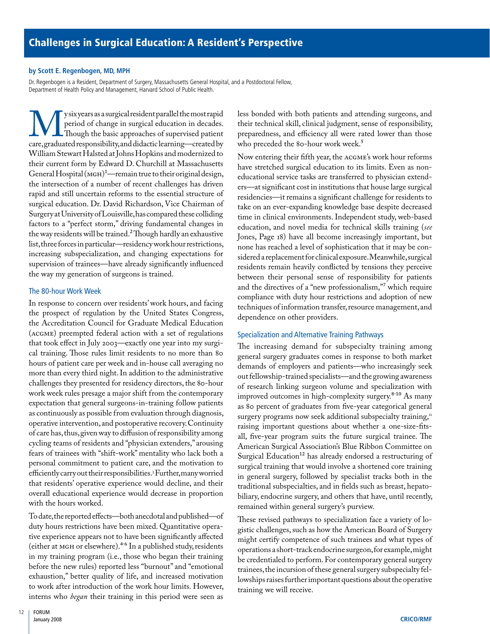#### **by scott e. Regenbogen, MD, Mph**

Dr. Regenbogen is a Resident, Department of Surgery, Massachusetts General Hospital, and a Postdoctoral Fellow,<br>Department of Health Policy and Management, Harvard School of Public Health.

y six years as a surgical resident parallel the most rapid We y six years as a surgical resident parallel the most rapid<br>period of change in surgical education in decades.<br>Care, graduated responsibility, and didactic learning—created by surgical education. Dr. David Richardson, Vice Chairman of SurgeryatUniversityofLouisville,hascomparedthesecolliding period of change in surgical education in decades. Though the basic approaches of supervised patient William Stewart Halsted at Johns Hopkins and modernized to their current form by Edward D. Churchill at Massachusetts General Hospital ( $MGH$ )<sup>1</sup>—remain true to their original design, the intersection of a number of recent challenges has driven rapid and still uncertain reforms to the essential structure of factors to a "perfect storm," driving fundamental changes in the way residents will be trained.<sup>2</sup> Though hardly an exhaustive list, three forces in particular—residency work hour restrictions, increasing subspecialization, and changing expectations for supervision of trainees—have already significantly influenced the way my generation of surgeons is trained.

#### The 80-hour Work Week

 In response to concern over residents' work hours, and facing of care has,thus,given way to diffusion of responsibility among efficiently carry out their responsibilities.3Further,many worried the prospect of regulation by the United States Congress, the Accreditation Council for Graduate Medical Education (aCGMe) preempted federal action with a set of regulations that took effect in July 2003—exactly one year into my surgical training. Those rules limit residents to no more than 80 hours of patient care per week and in-house call averaging no more than every third night. In addition to the administrative challenges they presented for residency directors, the 80-hour work week rules presage a major shift from the contemporary expectation that general surgeons-in-training follow patients as continuously as possible from evaluation through diagnosis, operative intervention,and postoperative recovery.Continuity cycling teams of residents and "physician extenders," arousing fears of trainees with "shift-work" mentality who lack both a personal commitment to patient care, and the motivation to that residents' operative experience would decline, and their overall educational experience would decrease in proportion with the hours worked.

 Todate,thereportedeffects—bothanecdotalandpublished—of to work after introduction of the work hour limits. However, duty hours restrictions have been mixed. Quantitative operative experience appears not to have been significantly affected (either at MGH or elsewhere).4-6 In a published study, residents in my training program (i.e., those who began their training before the new rules) reported less "burnout" and "emotional exhaustion," better quality of life, and increased motivation interns who *began* their training in this period were seen as

less bonded with both patients and attending surgeons, and their technical skill, clinical judgment, sense of responsibility, preparedness, and efficiency all were rated lower than those who preceded the 80-hour work week.<sup>5</sup>

 sidereda replacementforclinicalexposure.Meanwhile,surgical Now entering their fifth year, the aCGMe's work hour reforms have stretched surgical education to its limits. Even as noneducational service tasks are transferred to physician extenders—at significant cost in institutions that house large surgical residencies—it remains a significant challenge for residents to take on an ever-expanding knowledge base despite decreased time in clinical environments. Independent study, web-based education, and novel media for technical skills training (*see*  Jones, Page 18) have all become increasingly important, but none has reached a level of sophistication that it may be conresidents remain heavily conflicted by tensions they perceive between their personal sense of responsibility for patients and the directives of a "new professionalism,"7 which require compliance with duty hour restrictions and adoption of new techniques of information transfer, resource management, and dependence on other providers.

#### Specialization and Alternative Training Pathways

 The increasing demand for subspecialty training among general surgery graduates comes in response to both market demands of employers and patients—who increasingly seek out fellowship-trained specialists—and the growing awareness of research linking surgeon volume and specialization with improved outcomes in high-complexity surgery.<sup>8-10</sup> As many as 80 percent of graduates from five-year categorical general surgery programs now seek additional subspecialty training,<sup>11</sup> raising important questions about whether a one-size-fitsall, five-year program suits the future surgical trainee. The American Surgical Association's Blue Ribbon Committee on Surgical Education<sup>12</sup> has already endorsed a restructuring of surgical training that would involve a shortened core training in general surgery, followed by specialist tracks both in the traditional subspecialties, and in fields such as breast, hepatobiliary, endocrine surgery, and others that have, until recently, remained within general surgery's purview.

 operations a short-track endocrine surgeon,for example,might These revised pathways to specialization face a variety of logistic challenges, such as how the American Board of Surgery might certify competence of such trainees and what types of be credentialed to perform. For contemporary general surgery trainees, the incursion of these general surgery subspecialty fellowships raises further important questions about the operative training we will receive.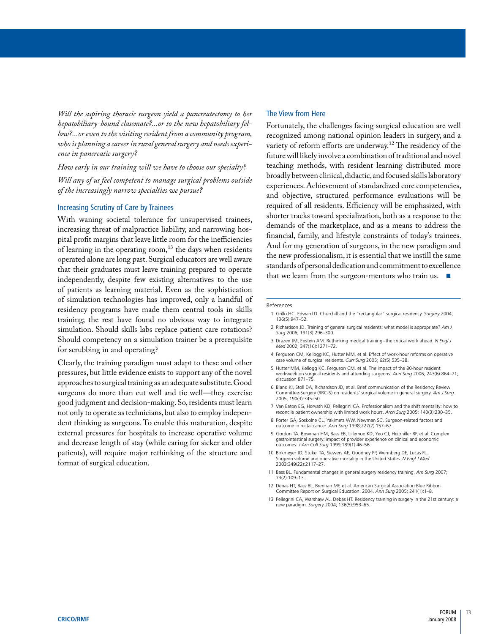Will the aspiring thoracic surgeon yield a pancreatectomy to her *hepatobiliary-bound classmate?...or to the new hepatobiliary fellow?...or even to the visiting resident from a community program, who is planning a career in rural general surgery and needs experience in pancreatic surgery?* 

#### *How early in our training will we have to choose our specialty?*

*Will any of us feel competent to manage surgical problems outside of the increasingly narrow specialties we pursue?* 

#### Increasing Scrutiny of Care by Trainees

With waning societal tolerance for unsupervised trainees, increasing threat of malpractice liability, and narrowing hospital profit margins that leave little room for the inefficiencies of learning in the operating room, $^{13}$  the days when residents operated alone are long past. Surgical educators are well aware that their graduates must leave training prepared to operate independently, despite few existing alternatives to the use of patients as learning material. Even as the sophistication of simulation technologies has improved, only a handful of residency programs have made them central tools in skills training; the rest have found no obvious way to integrate simulation. Should skills labs replace patient care rotations? Should competency on a simulation trainer be a prerequisite for scrubbing in and operating?

 good judgment and decision-making. So, residents must learn Clearly, the training paradigm must adapt to these and other pressures, but little evidence exists to support any of the novel approaches to surgical training as an adequate substitute.Good surgeons do more than cut well and tie well—they exercise not only to operate as technicians, but also to employ independent thinking as surgeons. To enable this maturation, despite external pressures for hospitals to increase operative volume and decrease length of stay (while caring for sicker and older patients), will require major rethinking of the structure and format of surgical education.

#### The View from Here

 broadly between clinical,didactic,and focused skills laboratory and objective, structured performance evaluations will be financial, family, and lifestyle constraints of today's trainees. standards of personal dedication and commitment to excellence Fortunately, the challenges facing surgical education are well recognized among national opinion leaders in surgery, and a variety of reform efforts are underway.12 The residency of the future will likely involve a combination of traditional and novel teaching methods, with resident learning distributed more experiences. Achievement of standardized core competencies, required of all residents. Efficiency will be emphasized, with shorter tracks toward specialization, both as a response to the demands of the marketplace, and as a means to address the And for my generation of surgeons, in the new paradigm and the new professionalism, it is essential that we instill the same that we learn from the surgeon-mentors who train us. ■

#### References

- 1 Grillo HC. Edward D. Churchill and the "rectangular" surgical residency. *Surgery* 2004; 136(5):947–52.
- 2 Richardson JD. Training of general surgical residents: what model is appropriate? *Am J Surg* 2006; 191(3):296–300.
- 3 Drazen JM, Epstein AM. Rethinking medical training--the critical work ahead. *N Engl J Med* 2002; 347(16):1271–72.
- 4 Ferguson CM, Kellogg KC, Hutter MM, et al. Effect of work-hour reforms on operative case volume of surgical residents. *Curr Surg* 2005; 62(5):535–38.
- 5 Hutter MM, Kellogg KC, Ferguson CM, et al. The impact of the 80-hour resident workweek on surgical residents and attending surgeons. *Ann Surg* 2006; 243(6):864–71; discussion 871–75.
- 6 Bland KI, Stoll DA, Richardson JD, et al. Brief communication of the Residency Review Committee-Surgery (RRC-S) on residents' surgical volume in general surgery. *Am J Surg*  2005; 190(3):345–50.
- 7 Van Eaton EG, Horvath KD, Pellegrini CA. Professionalism and the shift mentality: how to reconcile patient ownership with limited work hours. *Arch Surg* 2005; 140(3):230–35.
- 8 Porter GA, Soskolne CL, Yakimets WW, Newman SC. Surgeon-related factors and outcome in rectal cancer. *Ann Surg* 1998;227(2):157–67.
- 9 Gordon TA, Bowman HM, Bass EB, Lillemoe KD, Yeo CJ, Heitmiller RF, et al. Complex gastrointestinal surgery: impact of provider experience on clinical and economic outcomes. *J Am Coll Surg* 1999;189(1):46–56.
- 10 Birkmeyer JD, Stukel TA, Siewers AE, Goodney PP, Wennberg DE, Lucas FL. Surgeon volume and operative mortality in the United States. *N Engl J Med* 2003;349(22):2117–27.
- 11 Bass BL. Fundamental changes in general surgery residency training. *Am Surg* 2007; 73(2):109–13.
- 12 Debas HT, Bass BL, Brennan MF, et al. American Surgical Association Blue Ribbon Committee Report on Surgical Education: 2004. *Ann Surg* 2005; 241(1):1–8.
- 13 Pellegrini CA, Warshaw AL, Debas HT. Residency training in surgery in the 21st century: a new paradigm. *Surgery* 2004; 136(5):953–65.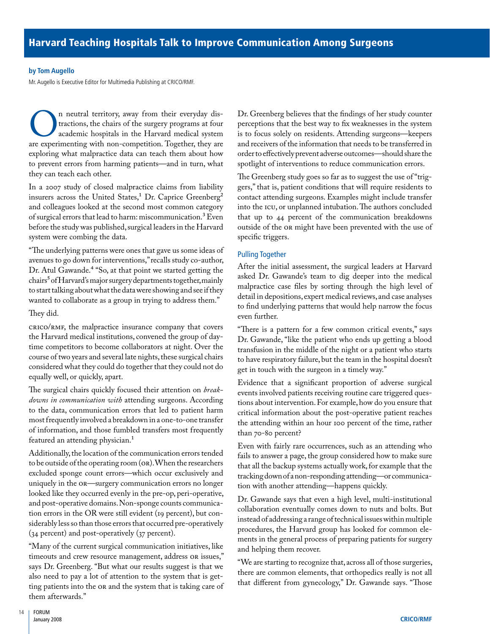#### **by tom augello**

Mr. Augello is Executive Editor for Multimedia Publishing at CRICO/RMF.

**On** neutral territory, away from their everyday distractions, the chairs of the surgery programs at four academic hospitals in the Harvard medical system are experimenting with non-competition. Together, they are tractions, the chairs of the surgery programs at four academic hospitals in the Harvard medical system exploring what malpractice data can teach them about how to prevent errors from harming patients—and in turn, what they can teach each other.

insurers across the United States, $1$  Dr. Caprice Greenberg<sup>2</sup> In a 2007 study of closed malpractice claims from liability and colleagues looked at the second most common category of surgical errors that lead to harm: miscommunication.3 Even before the study was published, surgical leaders in the Harvard system were combing the data.

 Dr. Atul Gawande.4 "So, at that point we started getting the chairs' of Harvard's major surgery departments together, mainly "The underlying patterns were ones that gave us some ideas of avenues to go down for interventions,"recalls study co-author, to start talking about what the data were showing and see if they wanted to collaborate as a group in trying to address them."

#### They did.

CRICO/RMF, the malpractice insurance company that covers the Harvard medical institutions, convened the group of daytime competitors to become collaborators at night. Over the course of two years and several late nights, these surgical chairs considered what they could do together that they could not do equally well, or quickly, apart.

The surgical chairs quickly focused their attention on *breakdowns in communication with* attending surgeons. According to the data, communication errors that led to patient harm most frequently involved a breakdown in a one-to-one transfer of information, and those fumbled transfers most frequently featured an attending physician.<sup>1</sup>

Additionally,the location of the communication errors tended to be outside of the operating room (OR).When the researchers excluded sponge count errors—which occur exclusively and uniquely in the OR—surgery communication errors no longer looked like they occurred evenly in the pre-op, peri-operative, and post-operative domains.Non-sponge counts communication errors in the OR were still evident (19 percent), but considerably less so than those errors that occurred pre-operatively (34 percent) and post-operatively (37 percent).

 timeouts and crew resource management, address OR issues," says Dr. Greenberg. "But what our results suggest is that we "Many of the current surgical communication initiatives, like also need to pay a lot of attention to the system that is getting patients into the OR and the system that is taking care of them afterwards."

order to effectively prevent adverse outcomes—should share the Dr. Greenberg believes that the findings of her study counter perceptions that the best way to fix weaknesses in the system is to focus solely on residents. Attending surgeons—keepers and receivers of the information that needs to be transferred in spotlight of interventions to reduce communication errors.

 gers," that is, patient conditions that will require residents to The Greenberg study goes so far as to suggest the use of "trigcontact attending surgeons. Examples might include transfer into the ICu, or unplanned intubation.The authors concluded that up to 44 percent of the communication breakdowns outside of the OR might have been prevented with the use of specific triggers.

#### Pulling Together

After the initial assessment, the surgical leaders at Harvard asked Dr. Gawande's team to dig deeper into the medical malpractice case files by sorting through the high level of detail in depositions, expert medical reviews, and case analyses to find underlying patterns that would help narrow the focus even further.

 Dr. Gawande, "like the patient who ends up getting a blood "There is a pattern for a few common critical events," says transfusion in the middle of the night or a patient who starts to have respiratory failure, but the team in the hospital doesn't get in touch with the surgeon in a timely way."

Evidence that a significant proportion of adverse surgical events involved patients receiving routine care triggered questions about intervention.For example,how do you ensure that critical information about the post-operative patient reaches the attending within an hour 100 percent of the time, rather than 70-80 percent?

Even with fairly rare occurrences, such as an attending who fails to answer a page, the group considered how to make sure that all the backup systems actually work, for example that the tracking down of a non-responding attending—or communication with another attending—happens quickly.

Dr. Gawande says that even a high level, multi-institutional collaboration eventually comes down to nuts and bolts. But instead of addressing a range of technical issues within multiple procedures, the Harvard group has looked for common elements in the general process of preparing patients for surgery and helping them recover.

 that different from gynecology," Dr. Gawande says. "Those "We are starting to recognize that, across all of those surgeries, there are common elements, that orthopedics really is not all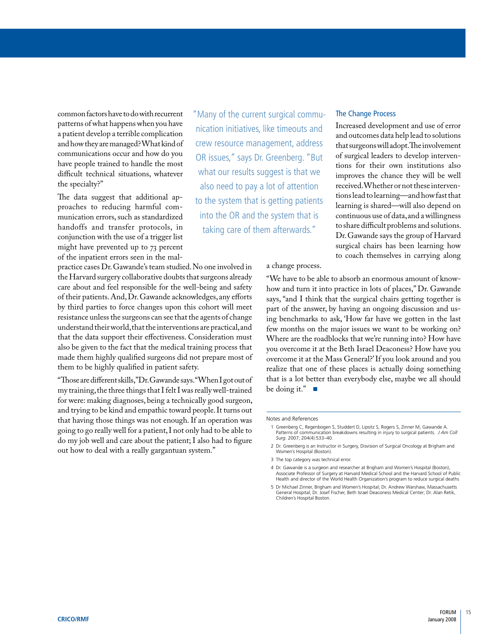common factors have to do with recurrent<br>patterns of what happens when you have and how they are managed? What kind of<br>communications occur and how do you

handoffs and transfer protocols, in handoffs and transfer protocols, in taking care of them afterwards." to share difficult problems and solutions.<br>conjunction with the use of a trigger list Dr.Gawande says the group of Harvard might have prevented up to 73 percent of the inpatient errors seen in the mal-

 of their patients.And,Dr.Gawande acknowledges,any efforts practice cases Dr.Gawande's team studied.No one involved in the Harvard surgery collaborative doubts that surgeons already care about and feel responsible for the well-being and safety by third parties to force changes upon this cohort will meet resistance unless the surgeons can see that the agents of change understand their world, that the interventions are practical, and that the data support their effectiveness. Consideration must also be given to the fact that the medical training process that made them highly qualified surgeons did not prepare most of them to be highly qualified in patient safety.

 "Thosearedifferentskills,"Dr.Gawandesays."WhenIgotoutof my training, the three things that I felt I was really well-trained for were: making diagnoses, being a technically good surgeon, and trying to be kind and empathic toward people.It turns out that having those things was not enough. If an operation was going to go really well for a patient,I not only had to be able to do my job well and care about the patient; I also had to figure out how to deal with a really gargantuan system."

have people trained to handle the most tions for their own institutions also "Many of the current surgical commu- The Change Process patterns of what happens when you have inication initiatives, like timeouts and Increased development and use of error a patient develop a terrible complication initiatives, like timeouts and  $\frac{1}{2}$  and outcomes data he crew resource management, address communications occur and how do you OR issues," says Dr. Greenberg. "But have people trained to handle the most difficult technical situations, whatever what our results suggest is that we improves the chance they will be well<br>the specialty?" also need to nay a lot of attention received. Whether or not these interven-The data suggest that additional ap-<br>
proaches to reducing harmful com-<br>
munication errors such as standardized into the OR and the system that is<br>
munication errors such as standardized into the OR and the system that is munication errors, such as standardized into the OR and the system that is continuous use of data, and a willingness<br>handoffs and transfer protocols in the thing ease of them of tanyords." to share difficult problems and s

that surgeons will adopt. The involvement<br>of surgical leaders to develop intervenalso need to pay a lot of attention received.Whether or not these interven-<br>tions lead to learning—and how fast that surgical chairs has been learning how to coach themselves in carrying along

#### a change process.

 how and turn it into practice in lots of places," Dr. Gawande "We have to be able to absorb an enormous amount of knowsays, "and I think that the surgical chairs getting together is part of the answer, by having an ongoing discussion and using benchmarks to ask, 'How far have we gotten in the last few months on the major issues we want to be working on? Where are the roadblocks that we're running into? How have you overcome it at the Beth Israel Deaconess? How have you overcome it at the Mass General?'If you look around and you realize that one of these places is actually doing something that is a lot better than everybody else, maybe we all should be doing it." $\blacksquare$ 

- Patterns of communication breakdowns resulting in injury to surgical patients. *J Am Coll*  1 Greenberg C, Regenbogen S, Studdert D, Lipsitz S, Rogers S, Zinner M, Gawande A. *Surg.* 2007; 204(4):533–40.
- 2 Dr. Greenberg is an Instructor in Surgery, Disvision of Surgical Oncology at Brigham and Women's Hospital (Boston).
- 3 The top category was technical error.

Notes and References

<sup>4</sup> Dr. Gawande is a surgeon and researcher at Brigham and Women's Hospital (Boston), Associate Professor of Surgery at Harvard Medical School and the Harvard School of Public Health and director of the World Health Organization's program to reduce surgical deaths

<sup>5</sup> Dr Michael Zinner, Brigham and Women's Hospital; Dr. Andrew Warshaw, Massachusetts General Hospital; Dr. Josef Fischer, Beth Israel Deaconess Medical Center; Dr. Alan Retik, Children's Hospital Boston.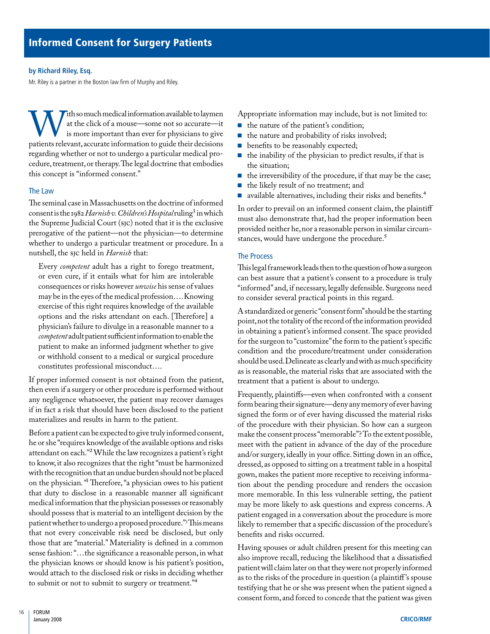#### by Richard Riley, Esq.

Mr. Riley is a partner in the Boston law firm of Murphy and Riley.

Tith so much medical information available to laymen cedure, treatment, or therapy. The legal doctrine that embodies With so much medical information available to laymen<br>
at the click of a mouse—some not so accurate—it<br>
is more important than ever for physicians to give<br>
patients relevant, accurate information to guide their decisions at the click of a mouse—some not so accurate—it is more important than ever for physicians to give regarding whether or not to undergo a particular medical prothis concept is "informed consent."

#### The Law

 consent is the 1982 *Harnish v.Children'sHospital* ruling1inwhich The seminal case in Massachusetts on the doctrine of informed the Supreme Judicial Court (SJC) noted that it is the exclusive prerogative of the patient—not the physician—to determine whether to undergo a particular treatment or procedure. In a nutshell, the SJC held in *Harnish* that:

 *competent* adultpatientsufficientinformationtoenablethe Every *competent* adult has a right to forego treatment, or even cure, if it entails what for him are intolerable consequences or risks however *unwise* his sense of values may be in the eyes of the medical profession….Knowing exercise of this right requires knowledge of the available options and the risks attendant on each. [Therefore] a physician's failure to divulge in a reasonable manner to a patient to make an informed judgment whether to give or withhold consent to a medical or surgical procedure constitutes professional misconduct….

If proper informed consent is not obtained from the patient, then even if a surgery or other procedure is performed without any negligence whatsoever, the patient may recover damages if in fact a risk that should have been disclosed to the patient materializes and results in harm to the patient.

Before a patient can be expected to give truly informed consent, he or she "requires knowledge of the available options and risks attendant on each."2 While the law recognizes a patient's right to know, it also recognizes that the right "must be harmonized with the recognition that an undue burden should not be placed on the physician*."*3 Therefore, "a physician owes to his patient that duty to disclose in a reasonable manner all significant medical information that the physician possesses or reasonably should possess that is material to an intelligent decision by the patient whether to undergo a proposed procedure."3 This means that not every conceivable risk need be disclosed, but only those that are "material." Materiality is defined in a common sense fashion: "...the significance a reasonable person, in what the physician knows or should know is his patient's position, would attach to the disclosed risk or risks in deciding whether to submit or not to submit to surgery or treatment."<sup>4</sup>

Appropriate information may include, but is not limited to:

- the nature of the patient's condition;
- the nature and probability of risks involved;
- benefits to be reasonably expected;
- the inability of the physician to predict results, if that is the situation;
- the irreversibility of the procedure, if that may be the case;
- the likely result of no treatment; and
- available alternatives, including their risks and benefits.<sup>4</sup>

 In order to prevail on an informed consent claim, the plaintiff must also demonstrate that, had the proper information been provided neither he, nor a reasonable person in similar circumstances, would have undergone the procedure.<sup>5</sup>

#### The Process

 Thislegalframeworkleadsthentothequestionofhowasurgeon "informed"and, if necessary, legally defensible. Surgeons need can best assure that a patient's consent to a procedure is truly to consider several practical points in this regard.

should be used. Delineate as clearly and with as much specificity A standardized or generic "consent form"should be the starting point,not the totality of the record of the information provided in obtaining a patient's informed consent.The space provided for the surgeon to "customize"the form to the patient's specific condition and the procedure/treatment under consideration as is reasonable, the material risks that are associated with the treatment that a patient is about to undergo.

Frequently, plaintiffs—even when confronted with a consent form bearing their signature—deny any memory of ever having signed the form or of ever having discussed the material risks of the procedure with their physician. So how can a surgeon make the consent process "memorable"? To the extent possible, meet with the patient in advance of the day of the procedure and/or surgery, ideally in your office. Sitting down in an office, dressed, as opposed to sitting on a treatment table in a hospital gown, makes the patient more receptive to receiving information about the pending procedure and renders the occasion more memorable. In this less vulnerable setting, the patient may be more likely to ask questions and express concerns. A patient engaged in a conversation about the procedure is more likely to remember that a specific discussion of the procedure's benefits and risks occurred.

Having spouses or adult children present for this meeting can also improve recall, reducing the likelihood that a dissatisfied patient will claim later on that they were not properly informed as to the risks of the procedure in question (a plaintiff 's spouse testifying that he or she was present when the patient signed a consent form,and forced to concede that the patient was given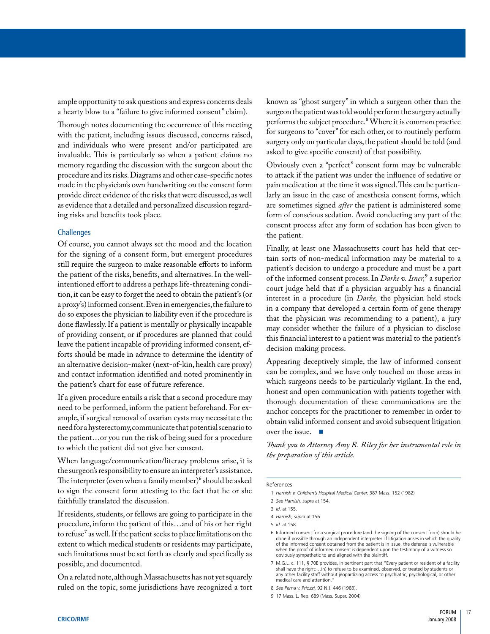ample opportunity to ask questions and express concerns deals a hearty blow to a "failure to give informed consent" claim).

Thorough notes documenting the occurrence of this meeting with the patient, including issues discussed, concerns raised, and individuals who were present and/or participated are invaluable. This is particularly so when a patient claims no memory regarding the discussion with the surgeon about the procedure and its risks.Diagrams and other case-specific notes made in the physician's own handwriting on the consent form provide direct evidence of the risks that were discussed,as well as evidence that a detailed and personalized discussion regarding risks and benefits took place.

#### **Challenges**

 the patient of the risks, benefits, and alternatives. In the wellthe patient's chart for ease of future reference. Of course, you cannot always set the mood and the location for the signing of a consent form, but emergent procedures still require the surgeon to make reasonable efforts to inform intentioned effort to address a perhaps life-threatening condition,it can be easy to forget the need to obtain the patient's (or a proxy's) informed consent.Even in emergencies,the failure to do so exposes the physician to liability even if the procedure is done flawlessly. If a patient is mentally or physically incapable of providing consent, or if procedures are planned that could leave the patient incapable of providing informed consent, efforts should be made in advance to determine the identity of an alternative decision-maker (next-of-kin, health care proxy) and contact information identified and noted prominently in

need for a hysterectomy,communicate that potential scenario to If a given procedure entails a risk that a second procedure may need to be performed, inform the patient beforehand. For example, if surgical removal of ovarian cysts may necessitate the the patient…or you run the risk of being sued for a procedure to which the patient did not give her consent.

When language/communication/literacy problems arise, it is the surgeon's responsibility to ensure an interpreter's assistance. The interpreter (even when a family member) $6$  should be asked to sign the consent form attesting to the fact that he or she faithfully translated the discussion.

 If residents, students, or fellows are going to participate in the to refuse' as well. If the patient seeks to place limitations on the procedure, inform the patient of this…and of his or her right extent to which medical students or residents may participate, such limitations must be set forth as clearly and specifically as possible, and documented.

On a related note, although Massachusetts has not yet squarely ruled on the topic, some jurisdictions have recognized a tort

surgeon the patient was told would perform the surgery actually known as "ghost surgery" in which a surgeon other than the performs the subject procedure.8 Where it is common practice for surgeons to "cover" for each other, or to routinely perform surgery only on particular days, the patient should be told (and asked to give specific consent) of that possibility.

Obviously even a "perfect" consent form may be vulnerable to attack if the patient was under the influence of sedative or pain medication at the time it was signed.This can be particularly an issue in the case of anesthesia consent forms, which are sometimes signed *after* the patient is administered some form of conscious sedation. Avoid conducting any part of the consent process after any form of sedation has been given to the patient.

Finally, at least one Massachusetts court has held that certain sorts of non-medical information may be material to a patient's decision to undergo a procedure and must be a part of the informed consent process. In *Darke v. Isner,*9 a superior court judge held that if a physician arguably has a financial interest in a procedure (in *Darke,* the physician held stock in a company that developed a certain form of gene therapy that the physician was recommending to a patient), a jury may consider whether the failure of a physician to disclose this financial interest to a patient was material to the patient's decision making process.

 which surgeons needs to be particularly vigilant. In the end, Appearing deceptively simple, the law of informed consent can be complex, and we have only touched on those areas in honest and open communication with patients together with thorough documentation of these communications are the anchor concepts for the practitioner to remember in order to obtain valid informed consent and avoid subsequent litigation over the issue.

*Thank you to Attorney Amy R. Riley for her instrumental role in the preparation of this article.* 

#### References

- 1 *Harnish v. Children's Hospital Medical Center,* 387 Mass. 152 (1982)
- 2 *See Harnish, supra* at 154.

- 4 *Harnish, supra* at 156
- 5 *Id.* at 158.
- 6 Informed consent for a surgical procedure (and the signing of the consent form) should he done if possible through an independent interpreter. If litigation arises in which the quality of the informed consent obtained from the patient is in issue, the defense is vulnerable when the proof of informed consent is dependent upon the testimony of a witness so obviously sympathetic to and aligned with the plaintiff.
- 7 M.G.L. c. 111, § 70E provides, in pertinent part that "Every patient or resident of a facility shall have the right:…(h) to refuse to be examined, observed, or treated by students or any other facility staff without jeopardizing access to psychiatric, psychological, or other medical care and attention."

<sup>3</sup> *Id.* at 155.

<sup>8</sup> *See Perna v. Priozzi,* 92 N.J. 446 (1983).

<sup>9 17</sup> Mass. L. Rep. 689 (Mass. Super. 2004)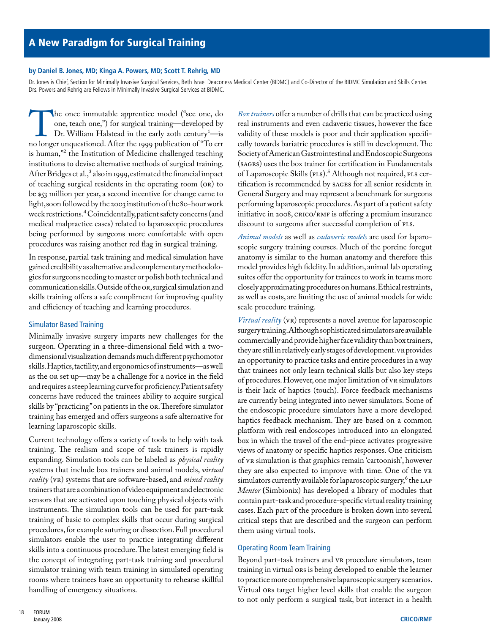#### by Daniel B. Jones, MD; Kinga A. Powers, MD; Scott T. Rehrig, MD

Dr. Jones is Chief, Section for Minimally Invasive Surgical Services, Beth Israel Deaconess Medical Center (BIDMC) and Co-Director of the BIDMC Simulation and Skills Center. Drs. Powers and Rehrig are Fellows in Minimally Invasive Surgical Services at BIDMC.

After Bridges et al.," also in 1999, estimated the financial impact The once immutable apprentice model ("see one, do one, teach one,") for surgical training—developed by Dr. William Halstead in the early 20th century<sup>1</sup>—is no longer unquestioned. After the 1999 publication of "To err one, teach one,") for surgical training—developed by Dr. William Halstead in the early 20th century<sup>1</sup>—is is human,"2 the Institution of Medicine challenged teaching institutions to devise alternative methods of surgical training. of teaching surgical residents in the operating room (OR) to be \$53 million per year, a second incentive for change came to light, soon followed by the 2003 institution of the 80-hour work week restrictions.4 Coincidentally,patient safety concerns (and medical malpractice cases) related to laparoscopic procedures being performed by surgeons more comfortable with open procedures was raising another red flag in surgical training.

gies for surgeons needing to master or polish both technical and communication skills.Outside of the OR,surgicalsimulationand In response, partial task training and medical simulation have gained credibility as alternative and complementary methodoloskills training offers a safe compliment for improving quality and efficiency of teaching and learning procedures.

#### Simulator Based Training

dimensional visualization demands much different psychomotor skills.Haptics,tactility,andergonomicsofinstruments—aswell and requires a steep learning curve for proficiency. Patient safety Minimally invasive surgery imparts new challenges for the surgeon. Operating in a three-dimensional field with a twoas the OR set up—may be a challenge for a novice in the field concerns have reduced the trainees ability to acquire surgical skills by "practicing"on patients in the OR.Therefore simulator training has emerged and offers surgeons a safe alternative for learning laparoscopic skills.

 trainersthatareacombinationofvideoequipmentandelectronic Current technology offers a variety of tools to help with task training. The realism and scope of task trainers is rapidly expanding. Simulation tools can be labeled as *physical reality* systems that include box trainers and animal models, *virtual reality* (VR) systems that are software-based, and *mixed reality* sensors that are activated upon touching physical objects with instruments. The simulation tools can be used for part-task training of basic to complex skills that occur during surgical procedures,for example suturing or dissection.Full procedural simulators enable the user to practice integrating different skills into a continuous procedure.The latest emerging field is the concept of integrating part-task training and procedural simulator training with team training in simulated operating rooms where trainees have an opportunity to rehearse skillful handling of emergency situations.

 SocietyofAmericanGastrointestinalandEndoscopicSurgeons of Laparoscopic Skills (FLS).5 Although not required, FLS cer- initiative in 2008, CRICO/RMF is offering a premium insurance *Box trainers* offer a number of drills that can be practiced using real instruments and even cadaveric tissues, however the face validity of these models is poor and their application specifically towards bariatric procedures is still in development. The (SaGeS) uses the box trainer for certification in Fundamentals tification is recommended by SaGeS for all senior residents in General Surgery and may represent a benchmark for surgeons performing laparoscopic procedures.As part of a patient safety discount to surgeons after successful completion of FLS.

 model provides high fidelity. In addition, animal lab operating *Animal models* as well as *cadaveric models* are used for laparoscopic surgery training courses. Much of the porcine foregut anatomy is similar to the human anatomy and therefore this suites offer the opportunity for trainees to work in teams more closely approximating procedures on humans.Ethical restraints, as well as costs, are limiting the use of animal models for wide scale procedure training.

 surgerytraining.Althoughsophisticatedsimulatorsareavailable of procedures.However,one major limitation of VR simulators containpart-taskandprocedure-specificvirtual realitytraining *Virtual reality* (VR) represents a novel avenue for laparoscopic commercially and provide higher face validity than box trainers, they are still in relatively early stages of development. VR provides an opportunity to practice tasks and entire procedures in a way that trainees not only learn technical skills but also key steps is their lack of haptics (touch). Force feedback mechanisms are currently being integrated into newer simulators. Some of the endoscopic procedure simulators have a more developed haptics feedback mechanism. They are based on a common platform with real endoscopes introduced into an elongated box in which the travel of the end-piece activates progressive views of anatomy or specific haptics responses. One criticism of VR simulation is that graphics remain 'cartoonish', however they are also expected to improve with time. One of the VR simulators currently available for laparoscopic surgery,<sup>6</sup> the LAP *Mentor* **(**Simbionix) has developed a library of modules that cases. Each part of the procedure is broken down into several critical steps that are described and the surgeon can perform them using virtual tools.

#### Operating Room Team Training

Beyond part-task trainers and VR procedure simulators, team training in virtual ORs is being developed to enable the learner to practice more comprehensive laparoscopic surgery scenarios. Virtual ORs target higher level skills that enable the surgeon to not only perform a surgical task, but interact in a health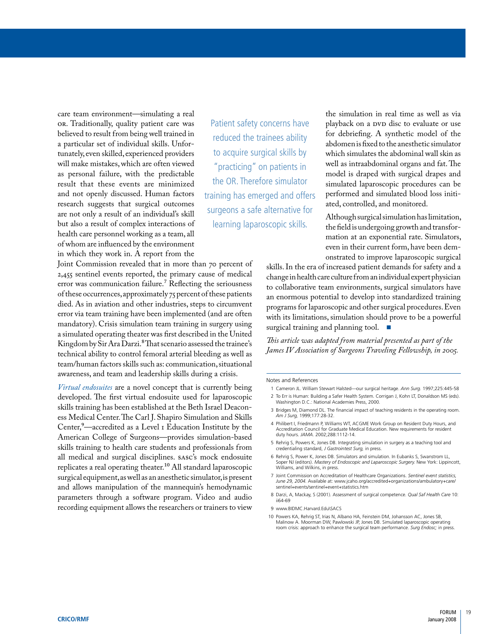tunately,even skilled,experienced providers to acquire surgical skills by which simulates the abdominal wall skin as will make mistakes, which are often viewed will make mistakes, which are often viewed well as intraabdominal organs and fat. The model is draped with surgical drapes and the predictable model is draped with surgical drapes result that these events are minimized research suggests that surgical outcomes care team environment—simulating a real the simulation in real time as well as via<br>or a concerns have the simulation in real time as well as via<br>playback on a pvp disc to evaluate or use OR. Traditionally, quality patient care was believed to result from being well trained in for debriefing. A synthetic model of the a particular set of individual skills. Unfor-<br>tunately, even skilled, experienced providers to acquire surgical skills by which simulat and not openly discussed. Human factors training has emerged and offers performed and simulated blood loss initi-<br>research suggests that surgical outcomes research suggests that surgical outcomes<br>are not only a result of an individual's skill<br>but also a result of complex interactions of learning laparoscopic skills. Although surgical simulation has limitation,<br>health care pe of whom are influenced by the environment in which they work in. A report from the

Joint Commission revealed that in more than 70 percent of 2,455 sentinel events reported, the primary cause of medical error was communication failure.<sup>7</sup> Reflecting the seriousness of these occurrences,approximately 75 percent of these patients died. As in aviation and other industries, steps to circumvent error via team training have been implemented (and are often mandatory). Crisis simulation team training in surgery using a simulated operating theater was first described in the United Kingdom by Sir Ara Darzi.<sup>8</sup>That scenario assessed the trainee's technical ability to control femoral arterial bleeding as well as team/human factors skills such as: communication, situational awareness, and team and leadership skills during a crisis.

 ess Medical Center.The Carl J. Shapiro Simulation and Skills *Virtual endosuites* are a novel concept that is currently being developed. The first virtual endosuite used for laparoscopic skills training has been established at the Beth Israel Deacon-Center,<sup>9</sup>—accredited as a Level 1 Education Institute by the American College of Surgeons—provides simulation-based skills training to health care students and professionals from all medical and surgical disciplines. sasc's mock endosuite replicates a real operating theater.10 All standard laparoscopic surgical equipment,as well as an anesthetic simulator,is present and allows manipulation of the mannequin's hemodynamic parameters through a software program. Video and audio recording equipment allows the researchers or trainers to view

result the OR. Therefore simulator model is draped with surgical drapes and simulated laparoscopic procedures can be

 mation at an exponential rate. Simulators, even in their current form, have been demonstrated to improve laparoscopic surgical

change in health care culture from an individual expert physician skills. In the era of increased patient demands for safety and a to collaborative team environments, surgical simulators have an enormous potential to develop into standardized training programs for laparoscopic and other surgical procedures.Even with its limitations, simulation should prove to be a powerful surgical training and planning tool. ■

*This article was adapted from material presented as part of the James IV Association of Surgeons Traveling Fellowship, in 2005.* 

#### Notes and References

- 1 Cameron JL. William Stewart Halsted—our surgical heritage. *Ann Surg.* 1997;225:445-58
- 2 To Err is Human: Building a Safer Health System. Corrigan J, Kohn LT, Donaldson MS (eds). Washington D.C.: National Academies Press, 2000.
- 3 Bridges M, Diamond DL. The financial impact of teaching residents in the operating room. *Am J Surg,* 1999;177:28-32.
- 4 Philibert I, Friedmann P, Williams WT, ACGME Work Group on Resident Duty Hours, and Accreditation Council for Graduate Medical Education. New requirements for resident duty hours. *JAMA.* 2002;288:1112-14.
- 5 Rehrig S, Powers K, Jones DB. Integrating simulation in surgery as a teaching tool and credentialing standard, *J Gastrointest Surg,* in press.
- 6 Rehrig S, Power K, Jones DB. Simulators and simulation. In Eubanks S, Swanstrom LL, Soper NJ (editors). *Mastery of Endoscopic and Laparoscopic Surgery.* New York: Lippincott, Williams, and Wilkins, in press.
- 7 Joint Commission on Accreditation of Healthcare Organizations. *Sentinel event statistics, June 29, 2004.* Available at: [www.jcaho.org/accredited+organizations/ambulatory+care/](http://www.jcaho.org/accredited+organizations/ambulatory+care/)  sentinel+events/sentinel+event+statistics.htm
- 8 Darzi, A, Mackay, S (2001). Assessment of surgical competence. *Qual Saf Health Care* 10: ii64-69
- 9 [www.BIDMC.Harvard.Edu\SACS](http://www.BIDMC.Harvard.Edu\SACS)
- 10 Powers KA, Rehrig ST, Irias N, Albano HA, Feinstein DM, Johansson AC, Jones SB, Malinow A. Moorman DW, Pawlowski JP, Jones DB. Simulated laparoscopic operating room crisis: approach to enhance the surgical team performance. *Surg Endosc;* in press.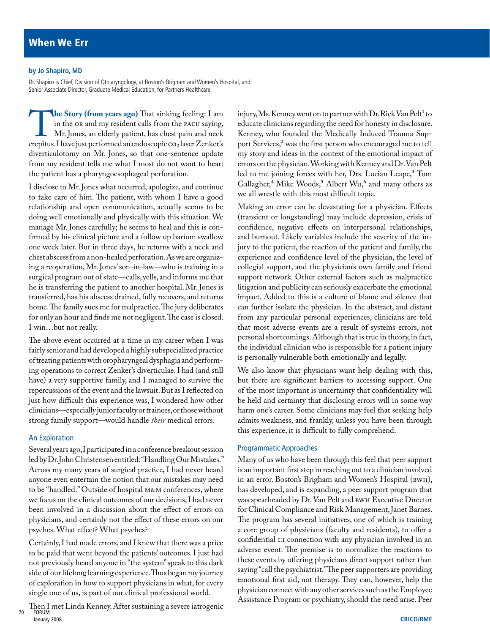#### **by Jo shapiro, MD**

Dr. Shapiro is Chief, Division of Otolaryngology, at Boston's Brigham and Women's Hospital, and Senior Associate Director, Graduate Medical Education, for Partners Healthcare.

 in the OR and my resident calls from the PaCu saying, Mr. Jones, an elderly patient, has chest pain and neck diverticulotomy on Mr. Jones, so that one-sentence update **The Story (from years ago)** That sinking feeling: I am in the or and my resident calls from the pacu saying, Mr. Jones, an elderly patient, has chest pain and neck crepitus. I have just performed an endoscopic co<sub>2</sub> laser from my resident tells me what I most do not want to hear: the patient has a pharyngoesophageal perforation.

 I disclose to Mr. Jones what occurred, apologize, and continue to take care of him. The patient, with whom I have a good ing a reoperation, Mr. Jones' son-in-law—who is training in a surgical program out of state—calls,yells,and informs me that he is transferring the patient to another hospital. Mr. Jones is relationship and open communication, actually seems to be doing well emotionally and physically with this situation. We manage Mr. Jones carefully; he seems to heal and this is confirmed by his clinical picture and a follow up barium swallow one week later. But in three days, he returns with a neck and chest abscess from a non-healed perforation.As we are organiztransferred, has his abscess drained, fully recovers, and returns home.The family sues me for malpractice.The jury deliberates for only an hour and finds me not negligent.The case is closed. I win…but not really.

 clinicians—especiallyjuniorfacultyortrainees,orthosewithout The above event occurred at a time in my career when I was fairly senior and had developed a highly subspecialized practice of treating patients with oropharyngeal dysphagia and performing operations to correct Zenker's diverticulae. I had (and still have) a very supportive family, and I managed to survive the repercussions of the event and the lawsuit.But as I reflected on just how difficult this experience was, I wondered how other strong family support—would handle *their* medical errors.

#### An Exploration

 Severalyearsago,I participatedinaconference breakoutsession to be "handled." Outside of hospital M&M conferences, where led by Dr.John Christensen entitled:"Handling Our Mistakes." Across my many years of surgical practice, I had never heard anyone even entertain the notion that our mistakes may need we focus on the clinical outcomes of our decisions, I had never been involved in a discussion about the effect of errors on physicians, and certainly not the effect of these errors on our psyches. What effect? What psyches?

 to be paid that went beyond the patients' outcomes. I just had Certainly, I had made errors, and I knew that there was a price not previously heard anyone in "the system" speak to this dark side of our lifelong learning experience.Thus began my journey of exploration in how to support physicians in what, for every single one of us, is part of our clinical professional world.

Then I met Linda Kenney. After sustaining a severe iatrogenic FORUM January 2008

injury,Ms. Kenney went on to partner with Dr. Rick Van Pelt $^{\scriptscriptstyle +}$  to led to me joining forces with her, Drs. Lucian Leape,<sup>3</sup> Tom educate clinicians regarding the need for honesty in disclosure. Kenney, who founded the Medically Induced Trauma Support Services,<sup>2</sup> was the first person who encouraged me to tell my story and ideas in the context of the emotional impact of errors on the physician.Working with Kenney and Dr.Van Pelt Gallagher,<sup>4</sup> Mike Woods,<sup>5</sup> Albert Wu,<sup>6</sup> and many others as we all wrestle with this most difficult topic.

 personal shortcomings.Although that is true in theory,in fact, Making an error can be devastating for a physician. Effects (transient or longstanding) may include depression, crisis of confidence, negative effects on interpersonal relationships, and burnout. Likely variables include the severity of the injury to the patient, the reaction of the patient and family, the experience and confidence level of the physician, the level of collegial support, and the physician's own family and friend support network. Other external factors such as malpractice litigation and publicity can seriously exacerbate the emotional impact. Added to this is a culture of blame and silence that can further isolate the physician. In the abstract, and distant from any particular personal experiences, clinicians are told that most adverse events are a result of systems errors, not the individual clinician who is responsible for a patient injury is personally vulnerable both emotionally and legally.

 admits weakness, and frankly, unless you have been through We also know that physicians want help dealing with this, but there are significant barriers to accessing support. One of the most important is uncertainty that confidentiality will be held and certainty that disclosing errors will in some way harm one's career. Some clinicians may feel that seeking help this experience, it is difficult to fully comprehend.

#### Programmatic Approaches

 emotional first aid, not therapy. They can, however, help the Many of us who have been through this feel that peer support is an important first step in reaching out to a clinician involved in an error. Boston's Brigham and Women's Hospital (BWH), has developed, and is expanding, a peer support program that was spearheaded by Dr.Van Pelt and BWH Executive Director for Clinical Compliance and Risk Management,Janet Barnes. The program has several initiatives, one of which is training a core group of physicians (faculty and residents), to offer a confidential 1:1 connection with any physician involved in an adverse event. The premise is to normalize the reactions to these events by offering physicians direct support rather than saying "call the psychiatrist."The peer supporters are providing physician connect with any other services such as the Employee Assistance Program or psychiatry, should the need arise. Peer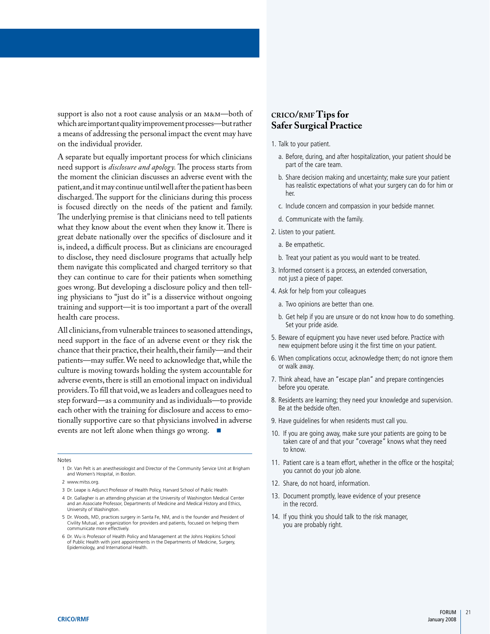whichareimportantqualityimprovementprocesses—butrather support is also not a root cause analysis or an M&M—both of a means of addressing the personal impact the event may have on the individual provider.

 is, indeed, a difficult process. But as clinicians are encouraged A separate but equally important process for which clinicians need support is *disclosure and apology.* The process starts from the moment the clinician discusses an adverse event with the patient,and it may continue until well after the patient has been discharged. The support for the clinicians during this process is focused directly on the needs of the patient and family. The underlying premise is that clinicians need to tell patients what they know about the event when they know it. There is great debate nationally over the specifics of disclosure and it to disclose, they need disclosure programs that actually help them navigate this complicated and charged territory so that they can continue to care for their patients when something goes wrong. But developing a disclosure policy and then telling physicians to "just do it" is a disservice without ongoing training and support—it is too important a part of the overall health care process.

chance that their practice, their health, their family—and their All clinicians, from vulnerable trainees to seasoned attendings, need support in the face of an adverse event or they risk the patients—may suffer.We need to acknowledge that, while the culture is moving towards holding the system accountable for adverse events, there is still an emotional impact on individual providers.To fill that void,we as leaders and colleagues need to step forward—as a community and as individuals—to provide each other with the training for disclosure and access to emotionally supportive care so that physicians involved in adverse events are not left alone when things go wrong.

Notes

1 Dr. Van Pelt is an anesthesiologist and Director of the Community Service Unit at Brigham and Women's Hospital, in Boston.

#### **crico/rmf Tips for Safer Surgical Practice**

- 1. Talk to your patient.
	- a. Before, during, and after hospitalization, your patient should be part of the care team.
	- b. Share decision making and uncertainty; make sure your patient has realistic expectations of what your surgery can do for him or her.
	- c. Include concern and compassion in your bedside manner.
	- d. Communicate with the family.
- 2. Listen to your patient.
	- a. Be empathetic.
	- b. Treat your patient as you would want to be treated.
- 3. Informed consent is a process, an extended conversation, not just a piece of paper.
- 4. Ask for help from your colleagues
	- a. Two opinions are better than one.
	- b. Get help if you are unsure or do not know how to do something. Set your pride aside.
- 5. Beware of equipment you have never used before. Practice with new equipment before using it the first time on your patient.
- 6. When complications occur, acknowledge them; do not ignore them or walk away.
- 7. Think ahead, have an "escape plan" and prepare contingencies before you operate.
- 8. Residents are learning; they need your knowledge and supervision. Be at the bedside often.
- 9. Have guidelines for when residents must call you.
- 10. If you are going away, make sure your patients are going to be taken care of and that your "coverage" knows what they need to know.
- 11. Patient care is a team effort, whether in the office or the hospital; you cannot do your job alone.
- 12. Share, do not hoard, information.
- 13. Document promptly, leave evidence of your presence in the record.
- 14. If you think you should talk to the risk manager, you are probably right.

<sup>2</sup> [www.mitss.org.](http://www.mitss.org)

<sup>3</sup> Dr. Leape is Adjunct Professor of Health Policy, Harvard School of Public Health

<sup>4</sup> Dr. Gallagher is an attending physician at the University of Washington Medical Center and an Associate Professor, Departments of Medicine and Medical History and Ethics, University of Washington.

<sup>5</sup> Dr. Woods, MD, practices surgery in Santa Fe, NM, and is the founder and President of Civility Mutual, an organization for providers and patients, focused on helping them communicate more effectively.

<sup>6</sup> Dr. Wu is Professor of Health Policy and Management at the Johns Hopkins School of Public Health with joint appointments in the Departments of Medicine, Surgery, Epidemiology, and International Health.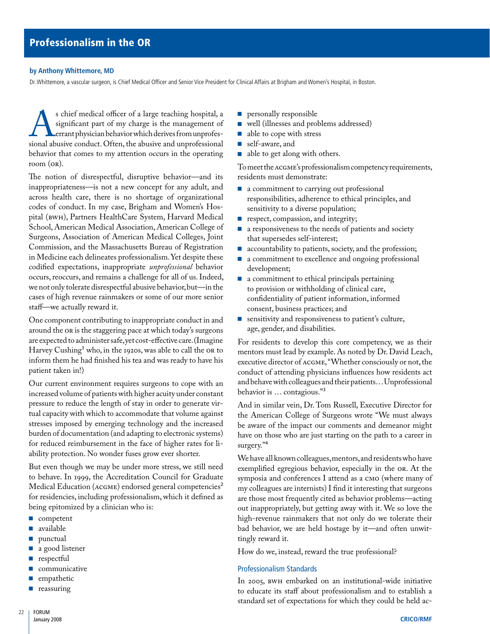#### **by anthony Whittemore, MD**

Dr. Whittemore, a vascular surgeon, is Chief Medical Officer and Senior Vice President for Clinical Affairs at Brigham and Women's Hospital, in Boston.

s chief medical officer of a large teaching hospital, a significant part of my charge is the management of errant physician behavior which derives from unprofessional abusive conduct. Often, the abusive and unprofessional significant part of my charge is the management of errant physician behavior which derives from unprofesbehavior that comes to my attention occurs in the operating room (OR).

 The notion of disrespectful, disruptive behavior—and its codes of conduct. In my case, Brigham and Women's Hos- occurs, reoccurs, and remains a challenge for all of us. Indeed, inappropriateness—is not a new concept for any adult, and across health care, there is no shortage of organizational pital (BWH), Partners HealthCare System, Harvard Medical School, American Medical Association, American College of Surgeons, Association of American Medical Colleges, Joint Commission, and the Massachusetts Bureau of Registration in Medicine each delineates professionalism.Yet despite these codified expectations, inappropriate *unprofessional* behavior we not only tolerate disrespectful abusive behavior, but—in the cases of high revenue rainmakers or some of our more senior staff—we actually reward it.

are expected to administer safe,yet cost-effective care.(Imagine Harvey Cushing<sup>1</sup> who, in the 1920s, was able to call the 0R to One component contributing to inappropriate conduct in and around the OR is the staggering pace at which today's surgeons inform them he had finished his tea and was ready to have his patient taken in!)

Our current environment requires surgeons to cope with an increased volume of patients with higher acuity under constant pressure to reduce the length of stay in order to generate virtual capacity with which to accommodate that volume against stresses imposed by emerging technology and the increased burden of documentation (and adapting to electronic systems) for reduced reimbursement in the face of higher rates for liability protection. No wonder fuses grow ever shorter.

 to behave. In 1999, the Accreditation Council for Graduate But even though we may be under more stress, we still need Medical Education (ACGME) endorsed general competencies<sup>2</sup> for residencies, including professionalism, which it defined as being epitomized by a clinician who is:

- competent
- available
- punctual
- a good listener
- respectful
- communicative
- empathetic
- reassuring
- personally responsible
- well (illnesses and problems addressed)
- able to cope with stress
- self-aware, and
- able to get along with others.

To meet the aCGMe's professionalism competency requirements, residents must demonstrate:

- a commitment to carrying out professional responsibilities, adherence to ethical principles, and sensitivity to a diverse population;
- respect, compassion, and integrity;
- a responsiveness to the needs of patients and society that supersedes self-interest;
- accountability to patients, society, and the profession;
- a commitment to excellence and ongoing professional development;
- to provision or withholding of clinical care, ■ a commitment to ethical principals pertaining confidentiality of patient information, informed consent, business practices; and
- sensitivity and responsiveness to patient's culture, age, gender, and disabilities.

and behave with colleagues and their patients…Unprofessional For residents to develop this core competency, we as their mentors must lead by example. As noted by Dr. David Leach, executive director of  $ACGME$ , "Whether consciously or not, the conduct of attending physicians influences how residents act behavior is … contagious."3

 And in similar vein, Dr. Tom Russell, Executive Director for the American College of Surgeons wrote "We must always be aware of the impact our comments and demeanor might have on those who are just starting on the path to a career in surgery."<sup>4</sup>

 We have all known colleagues,mentors,and residents who have exemplified egregious behavior, especially in the OR. At the symposia and conferences I attend as a CMO (where many of my colleagues are internists) I find it interesting that surgeons are those most frequently cited as behavior problems—acting out inappropriately, but getting away with it. We so love the high-revenue rainmakers that not only do we tolerate their bad behavior, we are held hostage by it—and often unwittingly reward it.

How do we, instead, reward the true professional?

#### Professionalism Standards

 In 2005, BWH embarked on an institutional-wide initiative to educate its staff about professionalism and to establish a standard set of expectations for which they could be held ac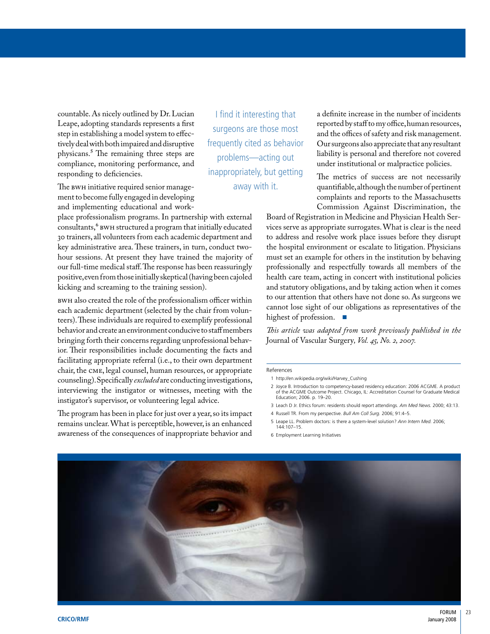tively deal with both impaired and disruptive<br>physicans.<sup>5</sup> The remaining three steps are responding to deficiencies. inappropriately, but getting The metrics of success are not necessarily physicans.<sup>5</sup> The remaining three steps are problems—acting out compliance, monitoring performance, and problems—acting out under institutional or malpractice policies.<br>
under institutional or malpractice policies.<br>
The me

ment to become fully engaged in developing and implementing educational and work-

consultants," BWH structured a program that initially educated key administrative area. These trainers, in turn, conduct two- positive,evenfrom thoseinitiallyskeptical(havingbeencajoled place professionalism programs. In partnership with external 30 trainers,all volunteers from each academic department and hour sessions. At present they have trained the majority of our full-time medical staff.The response has been reassuringly kicking and screaming to the training session).

behavior and create an environment conducive to staff members chair, the CMe, legal counsel, human resources, or appropriate BWH also created the role of the professionalism officer within each academic department (selected by the chair from volunteers).These individuals are required to exemplify professional bringing forth their concerns regarding unprofessional behavior. Their responsibilities include documenting the facts and facilitating appropriate referral (i.e., to their own department counseling).Specifically *excluded* are conducting investigations, interviewing the instigator or witnesses, meeting with the instigator's supervisor, or volunteering legal advice.

 remains unclear. What is perceptible, however, is an enhanced The program has been in place for just over a year, so its impact awareness of the consequences of inappropriate behavior and

 tivelydeal withbothimpairedanddisruptive frequently cited as behavior Our surgeons alsoappreciate that anyresultant countable. As nicely outlined by Dr. Lucian I find it interesting that a definite increase in the number of incidents<br>Leape, adopting standards represents a first reported by staff to my office, human resources, Leape, adopting standards represents a first reported by start to my office, human resources, sure of the office step in establishing a model system to effec-<br>tively deal with both impaired and disruptive frequently cited

 Commission Against Discrimination, the The BWH initiative required senior manage-<br>
away with it. quantifiable, although the number of pertinent complaints and reports to the Massachusetts

> Board of Registration in Medicine and Physician Health Services serve as appropriate surrogates. What is clear is the need to address and resolve work place issues before they disrupt the hospital environment or escalate to litigation. Physicians must set an example for others in the institution by behaving professionally and respectfully towards all members of the health care team, acting in concert with institutional policies and statutory obligations, and by taking action when it comes to our attention that others have not done so. As surgeons we cannot lose sight of our obligations as representatives of the highest of profession. ■

> *This article was adapted from work previously published in the*  Journal of Vascular Surgery*, Vol. 45, No. 2, 2007.*

#### References

- 1 [http://en.wikipedia.org/wiki/Harvey\\_Cushing](http://en.wikipedia.org/wiki/Harvey_Cushing)
- 2 Joyce B. Introduction to competency-based residency education: 2006 ACGME. A product of the ACGME Outcome Project. Chicago, IL: Accreditation Counsel for Graduate Medical Education; 2006. p. 19–20.
- 3 Leach D Jr. Ethics forum: residents should report attendings. *Am Med News.* 2000; 43:13.
- 4 Russell TR. From my perspective. *Bull Am Coll Surg.* 2006; 91:4–5.
- 5 Leape LL. Problem doctors: is there a system-level solution? *Ann Intern Med.* 2006; 144:107–15.
- 6 Employment Learning Initiatives

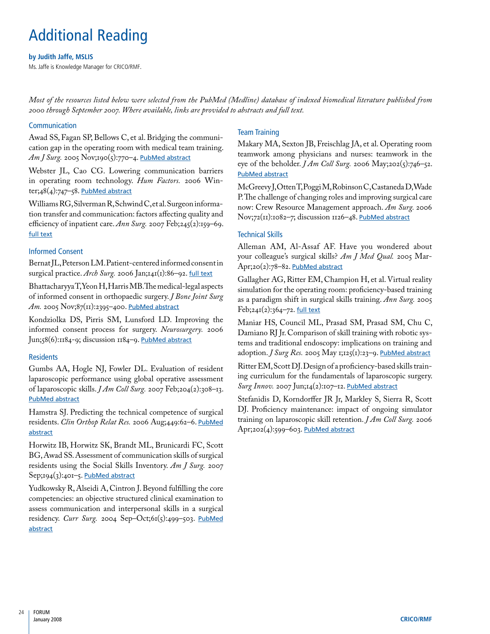# Additional Reading

#### **by Judith Jaffe, MsLIs**

Ms. Jaffe is Knowledge Manager for CRICO/RMF.

*Most of the resources listed below were selected from the PubMed (Medline) database of indexed biomedical literature published from 2000 through September 2007. Where available, links are provided to abstracts and full text.* 

#### Communication

 Awad SS, Fagan SP, Bellows C, et al. Bridging the communication gap in the operating room with medical team training. Am J Surg. 2005 Nov;190(5):770-4. [PubMed abstract](http://www.ncbi.nlm.nih.gov/sites/entrez?Db=pubmed&Cmd=ShowDetailView&TermToSearch=16226956&ordinalpos=1&itool=EntrezSystem2.PEntrez.Pubmed.Pubmed_ResultsPanel.Pubmed_RVDocSum)

 Webster JL, Cao CG. Lowering communication barriers in operating room technology. *Hum Factors.* 2006 Winter; $48(4):747=58$ . PubMed abstract

 Williams RG,Silverman R,Schwind C,et al.Surgeon informa- efficiency of inpatient care. *Ann Surg.* 2007 Feb;245(2):159–69. tion transfer and communication: factors affecting quality and [full text](http://www.pubmedcentral.nih.gov/articlerender.fcgi?tool=pubmed&pubmedid=17245166)

### Informed Consent

Bernat JL,Peterson LM.Patient-centered informed consent in surgical practice. *Arch Surg.* 2006 Jan;141(1):86–92. [full text](http://archsurg.ama-assn.org/cgi/content/full/141/1/86) 

 BhattacharyyaT,YeonH,HarrisMB.Themedical-legalaspects of informed consent in orthopaedic surgery. *J Bone Joint Surg*  Am. 2005 Nov;87(11):2395-400. PubMed abstract

 Kondziolka DS, Pirris SM, Lunsford LD. Improving the informed consent process for surgery. *Neurosurgery.* 2006 Jun;58(6):1184-9; discussion 1184-9. [PubMed abstract](http://www.ncbi.nlm.nih.gov/sites/entrez?Db=pubmed&Cmd=ShowDetailView&TermToSearch=16723898&ordinalpos=1&itool=EntrezSystem2.PEntrez.Pubmed.Pubmed_ResultsPanel.Pubmed_RVDocSum)

### **Residents**

 Gumbs AA, Hogle NJ, Fowler DL. Evaluation of resident laparoscopic performance using global operative assessment of laparoscopic skills. *J Am Coll Surg.* 2007 Feb;204(2):308–13. [PubMed abstract](http://www.ncbi.nlm.nih.gov/sites/entrez?Db=pubmed&Cmd=ShowDetailView&TermToSearch=17254935&ordinalpos=1&itool=EntrezSystem2.PEntrez.Pubmed.Pubmed_ResultsPanel.Pubmed_RVDocSum)

Hamstra SJ. Predicting the technical competence of surgical residents. *Clin Orthop Relat Res.* 2006 Aug;449:62–6. [PubMed](http://www.ncbi.nlm.nih.gov/sites/entrez?Db=pubmed&Cmd=ShowDetailView&TermToSearch=16760812&ordinalpos=7&itool=EntrezSystem2.PEntrez.Pubmed.Pubmed_ResultsPanel.Pubmed_RVDocSum) [abstract](http://www.ncbi.nlm.nih.gov/sites/entrez?Db=pubmed&Cmd=ShowDetailView&TermToSearch=16760812&ordinalpos=7&itool=EntrezSystem2.PEntrez.Pubmed.Pubmed_ResultsPanel.Pubmed_RVDocSum) 

 Horwitz IB, Horwitz SK, Brandt ML, Brunicardi FC, Scott BG,Awad SS.Assessment of communication skills of surgical residents using the Social Skills Inventory. *Am J Surg.* 2007 Sep;194(3):401-5. PubMed abstract

 Yudkowsky R, Alseidi A, Cintron J. Beyond fulfilling the core residency. *Curr Surg.* 2004 Sep–Oct;61(5):499–503. [PubMed](http://www.ncbi.nlm.nih.gov/sites/entrez?Db=pubmed&Cmd=ShowDetailView&TermToSearch=15475105&ordinalpos=9&itool=EntrezSystem2.PEntrez.Pubmed.Pubmed_ResultsPanel.Pubmed_RVDocSum) competencies: an objective structured clinical examination to assess communication and interpersonal skills in a surgical [abstract](http://www.ncbi.nlm.nih.gov/sites/entrez?Db=pubmed&Cmd=ShowDetailView&TermToSearch=15475105&ordinalpos=9&itool=EntrezSystem2.PEntrez.Pubmed.Pubmed_ResultsPanel.Pubmed_RVDocSum) 

#### Team Training

 Makary MA, Sexton JB, Freischlag JA, et al. Operating room teamwork among physicians and nurses: teamwork in the eye of the beholder. *J Am Coll Surg.* 2006 May;202(5):746–52. [PubMed abstract](http://www.ncbi.nlm.nih.gov/sites/entrez?Db=pubmed&Cmd=ShowDetailView&TermToSearch=17574192&ordinalpos=1&itool=EntrezSystem2.PEntrez.Pubmed.Pubmed_ResultsPanel.Pubmed_RVDocSum)

 McGreevyJ,OttenT,PoggiM,RobinsonC,CastanedaD,Wade P.The challenge of changing roles and improving surgical care now: Crew Resource Management approach. *Am Surg.* 2006 Nov;72(II):1082-7; discussion 1126-48. [PubMed abstract](http://www.ncbi.nlm.nih.gov/sites/entrez?Db=pubmed&Cmd=ShowDetailView&TermToSearch=17120951&ordinalpos=1&itool=EntrezSystem2.PEntrez.Pubmed.Pubmed_ResultsPanel.Pubmed_RVDocSum)

### Technical Skills

 Alleman AM, Al-Assaf AF. Have you wondered about your colleague's surgical skills? *Am J Med Qual.* 2005 Mar-Apr;20(2):78-82. [PubMed abstract](http://www.ncbi.nlm.nih.gov/sites/entrez?Db=pubmed&Cmd=ShowDetailView&TermToSearch=17120951&ordinalpos=1&itool=EntrezSystem2.PEntrez.Pubmed.Pubmed_ResultsPanel.Pubmed_RVDocSum)

 Gallagher AG, Ritter EM, Champion H, et al. Virtual reality as a paradigm shift in surgical skills training. *Ann Surg.* 2005 simulation for the operating room: proficiency-based training Feb;241(2):364-72. [full text](http://www.pubmedcentral.nih.gov/articlerender.fcgi?tool=pubmed&pubmedid=15650649)

 Maniar HS, Council ML, Prasad SM, Prasad SM, Chu C, Damiano RJ Jr. Comparison of skill training with robotic systems and traditional endoscopy: implications on training and adoption. *J Surg Res.* 2005 May 1;125(1):23–9. [PubMed abstract](http://www.pubmedcentral.nih.gov/articlerender.fcgi?tool=pubmed&pubmedid=15650649)

 Ritter EM,Scott DJ.Design of a proficiency-based skills training curriculum for the fundamentals of laparoscopic surgery. *Surg Innov.* 2007 Jun;14(2):107–12. [PubMed abstract](http://www.ncbi.nlm.nih.gov/sites/entrez?Db=pubmed&Cmd=ShowDetailView&TermToSearch=17558016&ordinalpos=1&itool=EntrezSystem2.PEntrez.Pubmed.Pubmed_ResultsPanel.Pubmed_RVDocSum) 

 Stefanidis D, Korndorffer JR Jr, Markley S, Sierra R, Scott DJ. Proficiency maintenance: impact of ongoing simulator training on laparoscopic skill retention. *J Am Coll Surg.* 2006 Apr;202(4):599-603. [PubMed abstract](http://www.ncbi.nlm.nih.gov/sites/entrez?Db=pubmed&Cmd=ShowDetailView&TermToSearch=15837889&ordinalpos=1&itool=EntrezSystem2.PEntrez.Pubmed.Pubmed_ResultsPanel.Pubmed_RVDocSum)